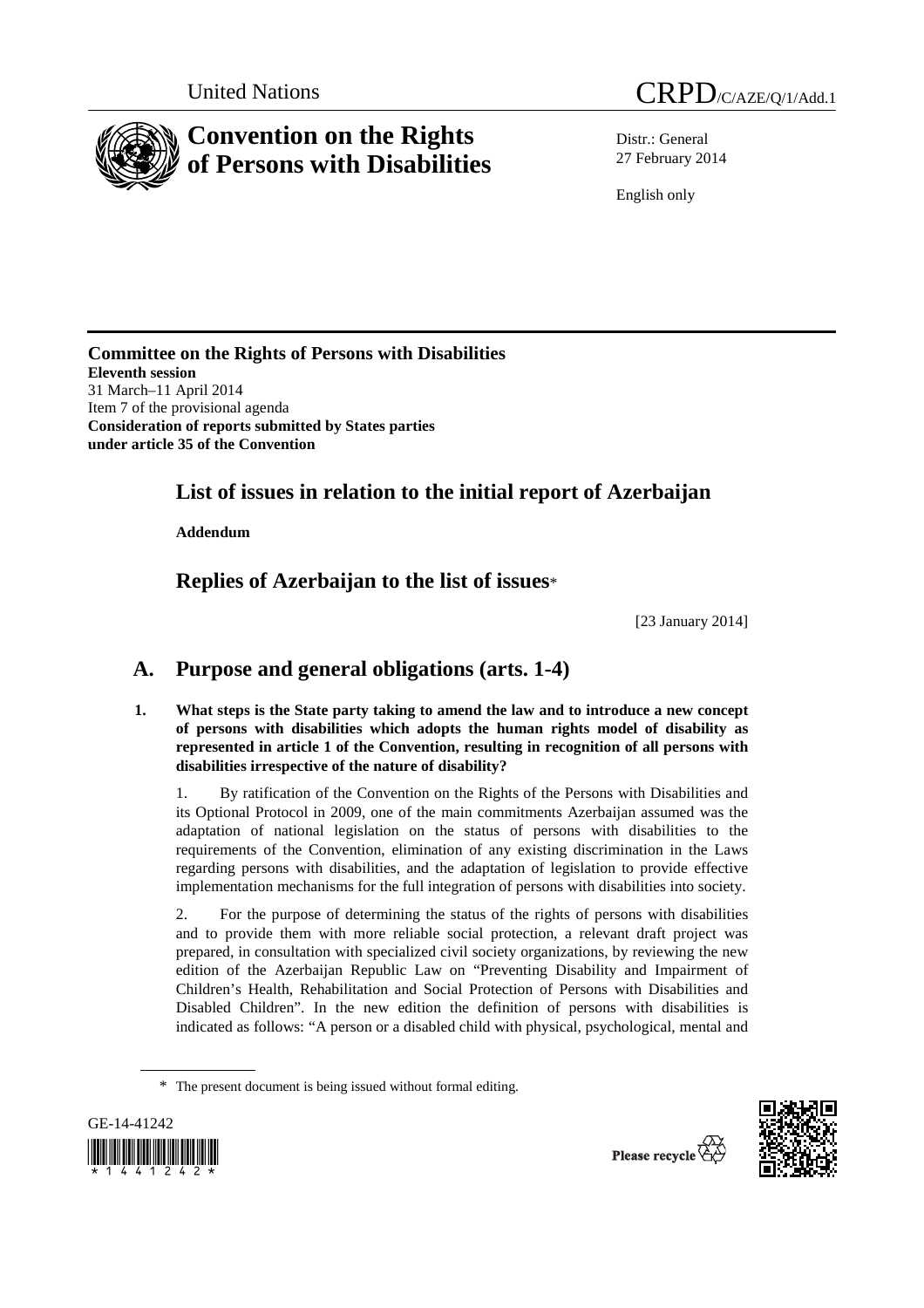

Distr.: General 27 February 2014

English only

**Committee on the Rights of Persons with Disabilities Eleventh session**  31 March–11 April 2014 Item 7 of the provisional agenda **Consideration of reports submitted by States parties under article 35 of the Convention** 

# **List of issues in relation to the initial report of Azerbaijan**

 **Addendum** 

 **Replies of Azerbaijan to the list of issues**\*

[23 January 2014]

# **A. Purpose and general obligations (arts. 1-4)**

**1. What steps is the State party taking to amend the law and to introduce a new concept of persons with disabilities which adopts the human rights model of disability as represented in article 1 of the Convention, resulting in recognition of all persons with disabilities irrespective of the nature of disability?** 

1. By ratification of the Convention on the Rights of the Persons with Disabilities and its Optional Protocol in 2009, one of the main commitments Azerbaijan assumed was the adaptation of national legislation on the status of persons with disabilities to the requirements of the Convention, elimination of any existing discrimination in the Laws regarding persons with disabilities, and the adaptation of legislation to provide effective implementation mechanisms for the full integration of persons with disabilities into society.

2. For the purpose of determining the status of the rights of persons with disabilities and to provide them with more reliable social protection, a relevant draft project was prepared, in consultation with specialized civil society organizations, by reviewing the new edition of the Azerbaijan Republic Law on "Preventing Disability and Impairment of Children's Health, Rehabilitation and Social Protection of Persons with Disabilities and Disabled Children". In the new edition the definition of persons with disabilities is indicated as follows: "A person or a disabled child with physical, psychological, mental and

<sup>\*</sup> The present document is being issued without formal editing.



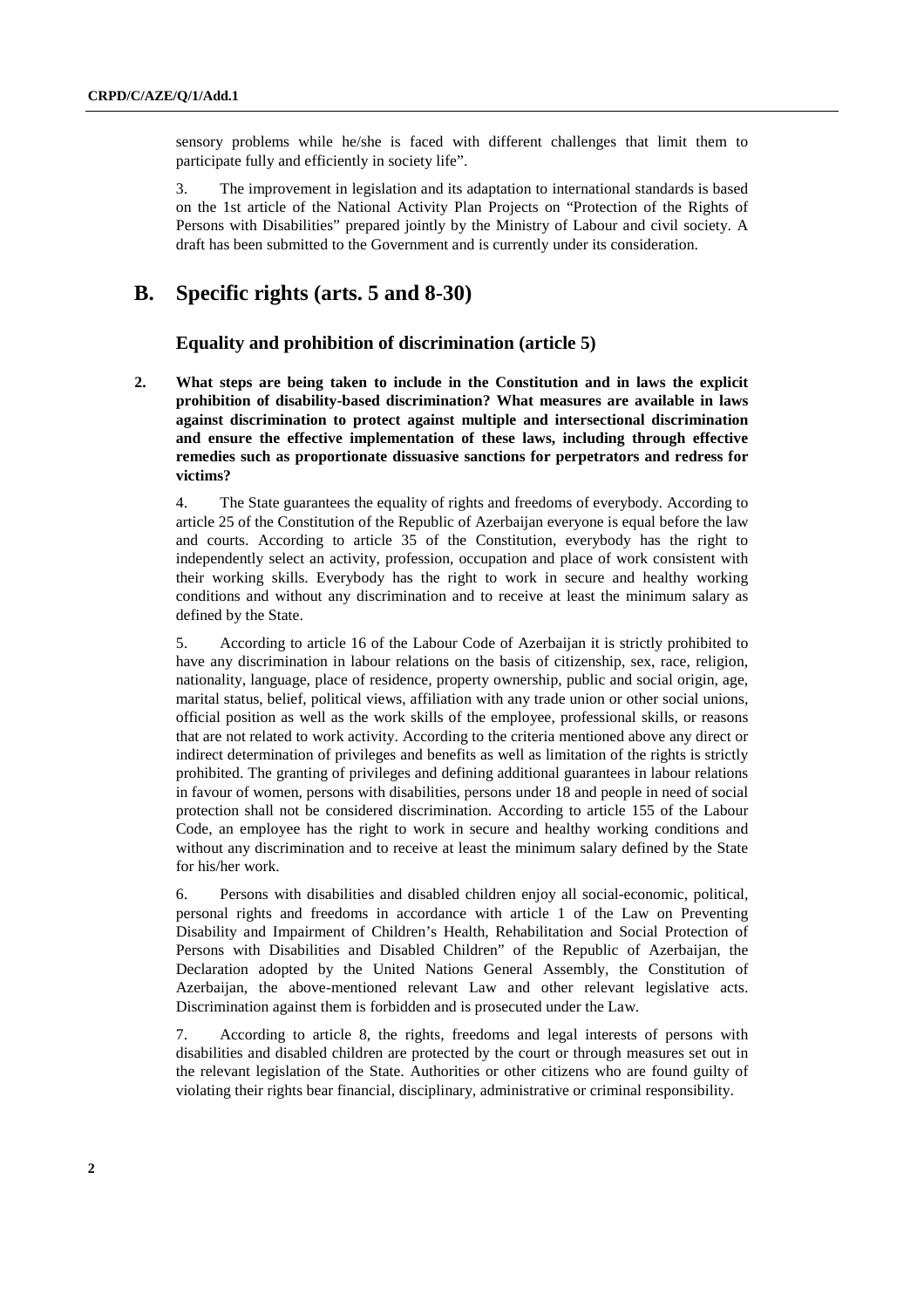sensory problems while he/she is faced with different challenges that limit them to participate fully and efficiently in society life".

3. The improvement in legislation and its adaptation to international standards is based on the 1st article of the National Activity Plan Projects on "Protection of the Rights of Persons with Disabilities" prepared jointly by the Ministry of Labour and civil society. A draft has been submitted to the Government and is currently under its consideration.

# **B. Specific rights (arts. 5 and 8-30)**

## **Equality and prohibition of discrimination (article 5)**

**2. What steps are being taken to include in the Constitution and in laws the explicit prohibition of disability-based discrimination? What measures are available in laws against discrimination to protect against multiple and intersectional discrimination and ensure the effective implementation of these laws, including through effective remedies such as proportionate dissuasive sanctions for perpetrators and redress for victims?** 

4. The State guarantees the equality of rights and freedoms of everybody. According to article 25 of the Constitution of the Republic of Azerbaijan everyone is equal before the law and courts. According to article 35 of the Constitution, everybody has the right to independently select an activity, profession, occupation and place of work consistent with their working skills. Everybody has the right to work in secure and healthy working conditions and without any discrimination and to receive at least the minimum salary as defined by the State.

5. According to article 16 of the Labour Code of Azerbaijan it is strictly prohibited to have any discrimination in labour relations on the basis of citizenship, sex, race, religion, nationality, language, place of residence, property ownership, public and social origin, age, marital status, belief, political views, affiliation with any trade union or other social unions, official position as well as the work skills of the employee, professional skills, or reasons that are not related to work activity. According to the criteria mentioned above any direct or indirect determination of privileges and benefits as well as limitation of the rights is strictly prohibited. The granting of privileges and defining additional guarantees in labour relations in favour of women, persons with disabilities, persons under 18 and people in need of social protection shall not be considered discrimination. According to article 155 of the Labour Code, an employee has the right to work in secure and healthy working conditions and without any discrimination and to receive at least the minimum salary defined by the State for his/her work.

6. Persons with disabilities and disabled children enjoy all social-economic, political, personal rights and freedoms in accordance with article 1 of the Law on Preventing Disability and Impairment of Children's Health, Rehabilitation and Social Protection of Persons with Disabilities and Disabled Children" of the Republic of Azerbaijan, the Declaration adopted by the United Nations General Assembly, the Constitution of Azerbaijan, the above-mentioned relevant Law and other relevant legislative acts. Discrimination against them is forbidden and is prosecuted under the Law.

7. According to article 8, the rights, freedoms and legal interests of persons with disabilities and disabled children are protected by the court or through measures set out in the relevant legislation of the State. Authorities or other citizens who are found guilty of violating their rights bear financial, disciplinary, administrative or criminal responsibility.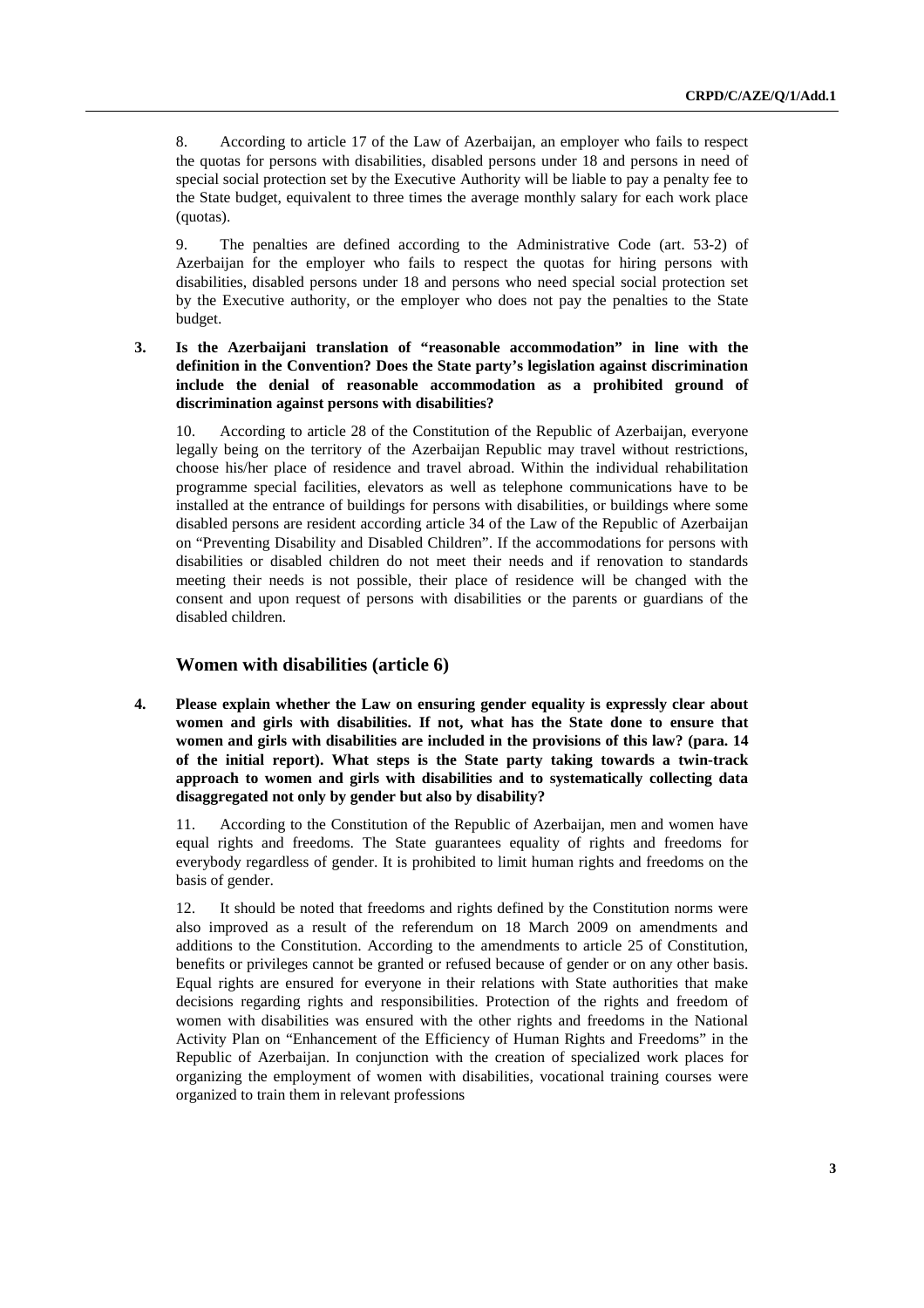8. According to article 17 of the Law of Azerbaijan, an employer who fails to respect the quotas for persons with disabilities, disabled persons under 18 and persons in need of special social protection set by the Executive Authority will be liable to pay a penalty fee to the State budget, equivalent to three times the average monthly salary for each work place (quotas).

9. The penalties are defined according to the Administrative Code (art. 53-2) of Azerbaijan for the employer who fails to respect the quotas for hiring persons with disabilities, disabled persons under 18 and persons who need special social protection set by the Executive authority, or the employer who does not pay the penalties to the State budget.

**3. Is the Azerbaijani translation of "reasonable accommodation" in line with the definition in the Convention? Does the State party's legislation against discrimination include the denial of reasonable accommodation as a prohibited ground of discrimination against persons with disabilities?** 

10. According to article 28 of the Constitution of the Republic of Azerbaijan, everyone legally being on the territory of the Azerbaijan Republic may travel without restrictions, choose his/her place of residence and travel abroad. Within the individual rehabilitation programme special facilities, elevators as well as telephone communications have to be installed at the entrance of buildings for persons with disabilities, or buildings where some disabled persons are resident according article 34 of the Law of the Republic of Azerbaijan on "Preventing Disability and Disabled Children". If the accommodations for persons with disabilities or disabled children do not meet their needs and if renovation to standards meeting their needs is not possible, their place of residence will be changed with the consent and upon request of persons with disabilities or the parents or guardians of the disabled children.

## **Women with disabilities (article 6)**

**4. Please explain whether the Law on ensuring gender equality is expressly clear about women and girls with disabilities. If not, what has the State done to ensure that women and girls with disabilities are included in the provisions of this law? (para. 14 of the initial report). What steps is the State party taking towards a twin-track approach to women and girls with disabilities and to systematically collecting data disaggregated not only by gender but also by disability?** 

According to the Constitution of the Republic of Azerbaijan, men and women have equal rights and freedoms. The State guarantees equality of rights and freedoms for everybody regardless of gender. It is prohibited to limit human rights and freedoms on the basis of gender.

12. It should be noted that freedoms and rights defined by the Constitution norms were also improved as a result of the referendum on 18 March 2009 on amendments and additions to the Constitution. According to the amendments to article 25 of Constitution, benefits or privileges cannot be granted or refused because of gender or on any other basis. Equal rights are ensured for everyone in their relations with State authorities that make decisions regarding rights and responsibilities. Protection of the rights and freedom of women with disabilities was ensured with the other rights and freedoms in the National Activity Plan on "Enhancement of the Efficiency of Human Rights and Freedoms" in the Republic of Azerbaijan. In conjunction with the creation of specialized work places for organizing the employment of women with disabilities, vocational training courses were organized to train them in relevant professions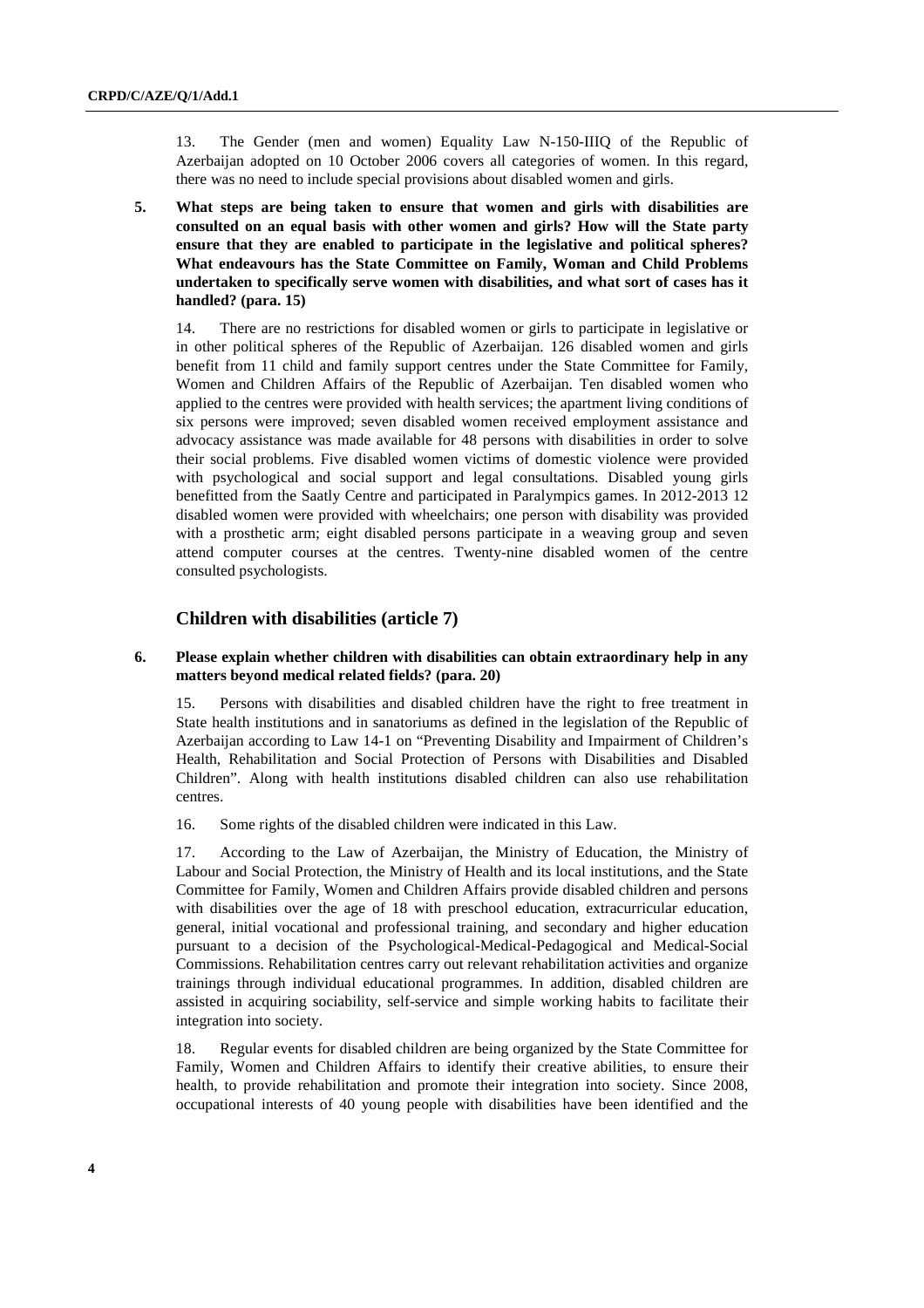13. The Gender (men and women) Equality Law N-150-IIIQ of the Republic of Azerbaijan adopted on 10 October 2006 covers all categories of women. In this regard, there was no need to include special provisions about disabled women and girls.

**5. What steps are being taken to ensure that women and girls with disabilities are consulted on an equal basis with other women and girls? How will the State party ensure that they are enabled to participate in the legislative and political spheres? What endeavours has the State Committee on Family, Woman and Child Problems undertaken to specifically serve women with disabilities, and what sort of cases has it handled? (para. 15)** 

14. There are no restrictions for disabled women or girls to participate in legislative or in other political spheres of the Republic of Azerbaijan. 126 disabled women and girls benefit from 11 child and family support centres under the State Committee for Family, Women and Children Affairs of the Republic of Azerbaijan. Ten disabled women who applied to the centres were provided with health services; the apartment living conditions of six persons were improved; seven disabled women received employment assistance and advocacy assistance was made available for 48 persons with disabilities in order to solve their social problems. Five disabled women victims of domestic violence were provided with psychological and social support and legal consultations. Disabled young girls benefitted from the Saatly Centre and participated in Paralympics games. In 2012-2013 12 disabled women were provided with wheelchairs; one person with disability was provided with a prosthetic arm; eight disabled persons participate in a weaving group and seven attend computer courses at the centres. Twenty-nine disabled women of the centre consulted psychologists.

## **Children with disabilities (article 7)**

#### **6. Please explain whether children with disabilities can obtain extraordinary help in any matters beyond medical related fields? (para. 20)**

15. Persons with disabilities and disabled children have the right to free treatment in State health institutions and in sanatoriums as defined in the legislation of the Republic of Azerbaijan according to Law 14-1 on "Preventing Disability and Impairment of Children's Health, Rehabilitation and Social Protection of Persons with Disabilities and Disabled Children". Along with health institutions disabled children can also use rehabilitation centres.

16. Some rights of the disabled children were indicated in this Law.

17. According to the Law of Azerbaijan, the Ministry of Education, the Ministry of Labour and Social Protection, the Ministry of Health and its local institutions, and the State Committee for Family, Women and Children Affairs provide disabled children and persons with disabilities over the age of 18 with preschool education, extracurricular education, general, initial vocational and professional training, and secondary and higher education pursuant to a decision of the Psychological-Medical-Pedagogical and Medical-Social Commissions. Rehabilitation centres carry out relevant rehabilitation activities and organize trainings through individual educational programmes. In addition, disabled children are assisted in acquiring sociability, self-service and simple working habits to facilitate their integration into society.

18. Regular events for disabled children are being organized by the State Committee for Family, Women and Children Affairs to identify their creative abilities, to ensure their health, to provide rehabilitation and promote their integration into society. Since 2008, occupational interests of 40 young people with disabilities have been identified and the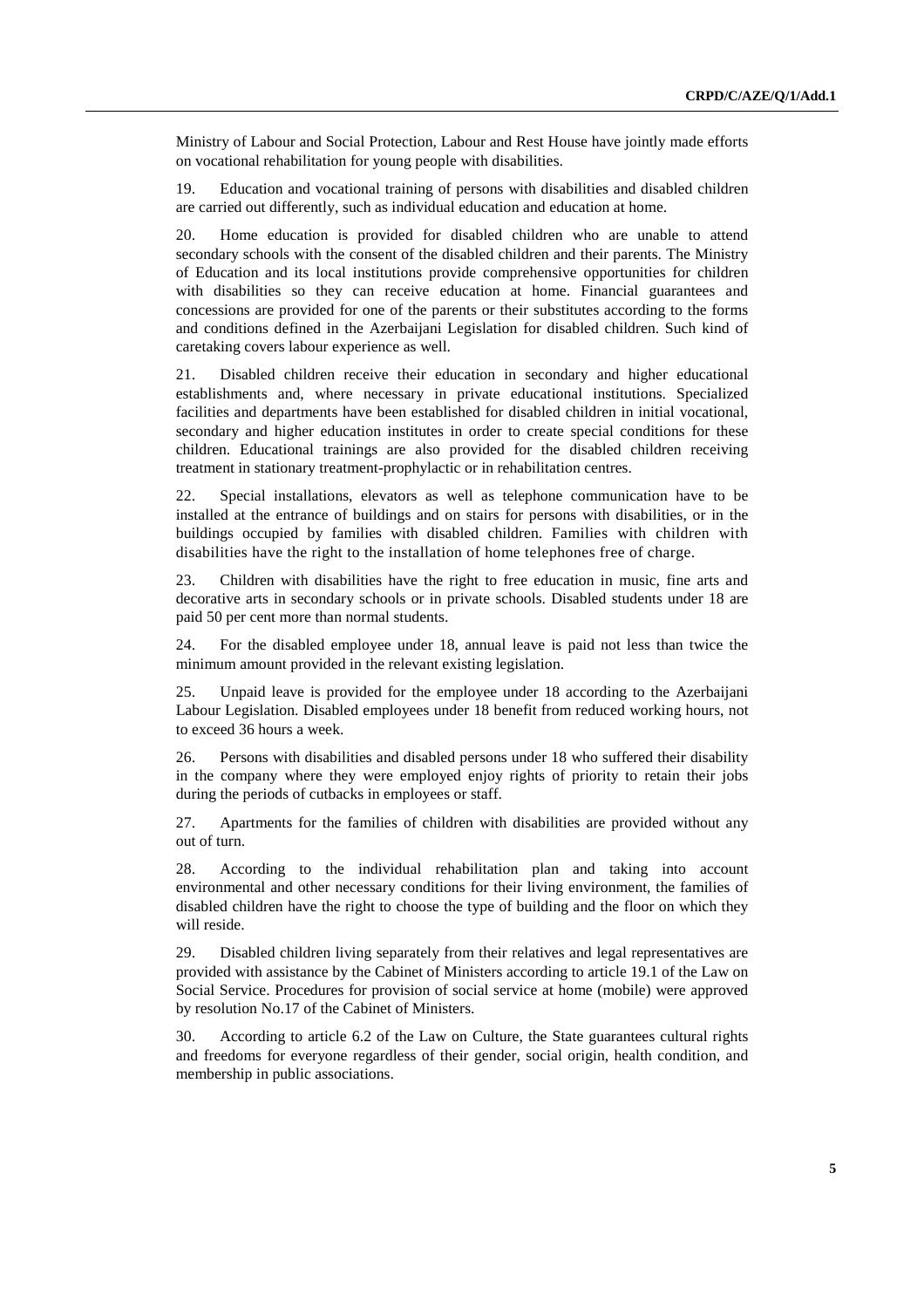Ministry of Labour and Social Protection, Labour and Rest House have jointly made efforts on vocational rehabilitation for young people with disabilities.

19. Education and vocational training of persons with disabilities and disabled children are carried out differently, such as individual education and education at home.

20. Home education is provided for disabled children who are unable to attend secondary schools with the consent of the disabled children and their parents. The Ministry of Education and its local institutions provide comprehensive opportunities for children with disabilities so they can receive education at home. Financial guarantees and concessions are provided for one of the parents or their substitutes according to the forms and conditions defined in the Azerbaijani Legislation for disabled children. Such kind of caretaking covers labour experience as well.

21. Disabled children receive their education in secondary and higher educational establishments and, where necessary in private educational institutions. Specialized facilities and departments have been established for disabled children in initial vocational, secondary and higher education institutes in order to create special conditions for these children. Educational trainings are also provided for the disabled children receiving treatment in stationary treatment-prophylactic or in rehabilitation centres.

22. Special installations, elevators as well as telephone communication have to be installed at the entrance of buildings and on stairs for persons with disabilities, or in the buildings occupied by families with disabled children. Families with children with disabilities have the right to the installation of home telephones free of charge.

23. Children with disabilities have the right to free education in music, fine arts and decorative arts in secondary schools or in private schools. Disabled students under 18 are paid 50 per cent more than normal students.

24. For the disabled employee under 18, annual leave is paid not less than twice the minimum amount provided in the relevant existing legislation.

25. Unpaid leave is provided for the employee under 18 according to the Azerbaijani Labour Legislation. Disabled employees under 18 benefit from reduced working hours, not to exceed 36 hours a week.

26. Persons with disabilities and disabled persons under 18 who suffered their disability in the company where they were employed enjoy rights of priority to retain their jobs during the periods of cutbacks in employees or staff.

27. Apartments for the families of children with disabilities are provided without any out of turn.

28. According to the individual rehabilitation plan and taking into account environmental and other necessary conditions for their living environment, the families of disabled children have the right to choose the type of building and the floor on which they will reside.

29. Disabled children living separately from their relatives and legal representatives are provided with assistance by the Cabinet of Ministers according to article 19.1 of the Law on Social Service. Procedures for provision of social service at home (mobile) were approved by resolution No.17 of the Cabinet of Ministers.

30. According to article 6.2 of the Law on Culture, the State guarantees cultural rights and freedoms for everyone regardless of their gender, social origin, health condition, and membership in public associations.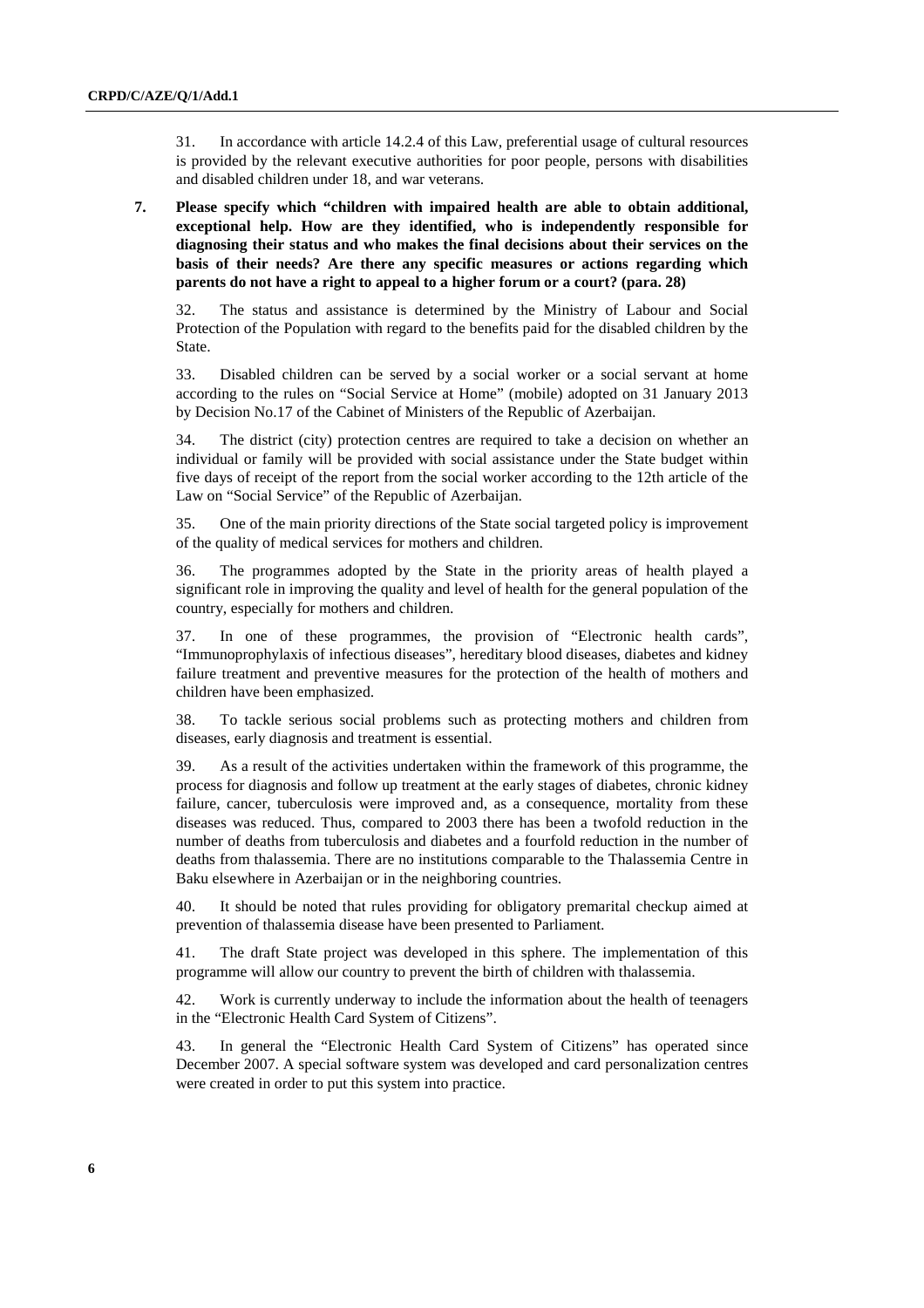31. In accordance with article 14.2.4 of this Law, preferential usage of cultural resources is provided by the relevant executive authorities for poor people, persons with disabilities and disabled children under 18, and war veterans.

## **7. Please specify which "children with impaired health are able to obtain additional, exceptional help. How are they identified, who is independently responsible for diagnosing their status and who makes the final decisions about their services on the basis of their needs? Are there any specific measures or actions regarding which parents do not have a right to appeal to a higher forum or a court? (para. 28)**

32. The status and assistance is determined by the Ministry of Labour and Social Protection of the Population with regard to the benefits paid for the disabled children by the State.

33. Disabled children can be served by a social worker or a social servant at home according to the rules on "Social Service at Home" (mobile) adopted on 31 January 2013 by Decision No.17 of the Cabinet of Ministers of the Republic of Azerbaijan.

34. The district (city) protection centres are required to take a decision on whether an individual or family will be provided with social assistance under the State budget within five days of receipt of the report from the social worker according to the 12th article of the Law on "Social Service" of the Republic of Azerbaijan.

35. One of the main priority directions of the State social targeted policy is improvement of the quality of medical services for mothers and children.

36. The programmes adopted by the State in the priority areas of health played a significant role in improving the quality and level of health for the general population of the country, especially for mothers and children.

37. In one of these programmes, the provision of "Electronic health cards", "Immunoprophylaxis of infectious diseases", hereditary blood diseases, diabetes and kidney failure treatment and preventive measures for the protection of the health of mothers and children have been emphasized.

38. To tackle serious social problems such as protecting mothers and children from diseases, early diagnosis and treatment is essential.

39. As a result of the activities undertaken within the framework of this programme, the process for diagnosis and follow up treatment at the early stages of diabetes, chronic kidney failure, cancer, tuberculosis were improved and, as a consequence, mortality from these diseases was reduced. Thus, compared to 2003 there has been a twofold reduction in the number of deaths from tuberculosis and diabetes and a fourfold reduction in the number of deaths from thalassemia. There are no institutions comparable to the Thalassemia Centre in Baku elsewhere in Azerbaijan or in the neighboring countries.

40. It should be noted that rules providing for obligatory premarital checkup aimed at prevention of thalassemia disease have been presented to Parliament.

41. The draft State project was developed in this sphere. The implementation of this programme will allow our country to prevent the birth of children with thalassemia.

42. Work is currently underway to include the information about the health of teenagers in the "Electronic Health Card System of Citizens".

43. In general the "Electronic Health Card System of Citizens" has operated since December 2007. A special software system was developed and card personalization centres were created in order to put this system into practice.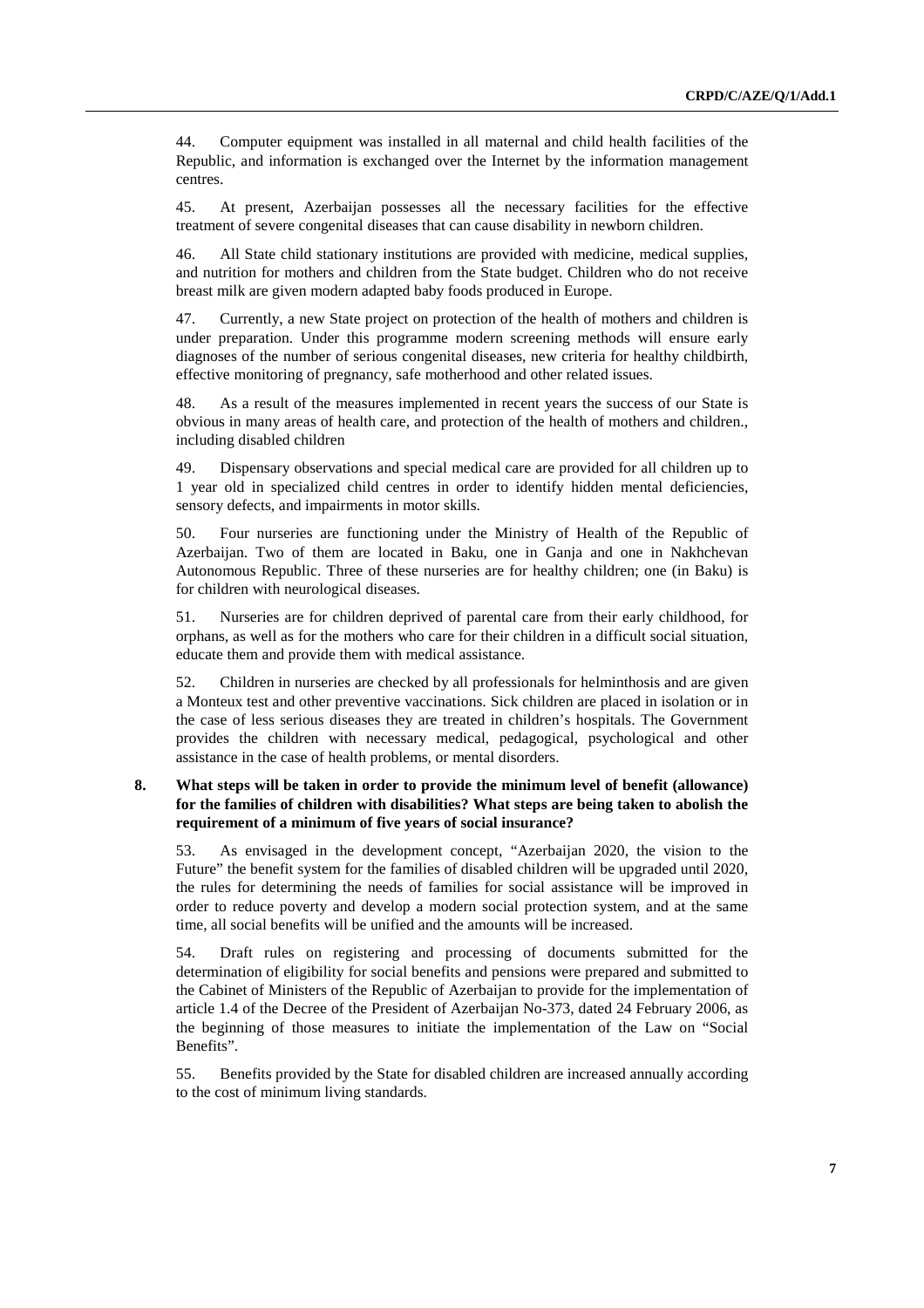44. Computer equipment was installed in all maternal and child health facilities of the Republic, and information is exchanged over the Internet by the information management centres.

45. At present, Azerbaijan possesses all the necessary facilities for the effective treatment of severe congenital diseases that can cause disability in newborn children.

46. All State child stationary institutions are provided with medicine, medical supplies, and nutrition for mothers and children from the State budget. Children who do not receive breast milk are given modern adapted baby foods produced in Europe.

47. Currently, a new State project on protection of the health of mothers and children is under preparation. Under this programme modern screening methods will ensure early diagnoses of the number of serious congenital diseases, new criteria for healthy childbirth, effective monitoring of pregnancy, safe motherhood and other related issues.

48. As a result of the measures implemented in recent years the success of our State is obvious in many areas of health care, and protection of the health of mothers and children., including disabled children

49. Dispensary observations and special medical care are provided for all children up to 1 year old in specialized child centres in order to identify hidden mental deficiencies, sensory defects, and impairments in motor skills.

50. Four nurseries are functioning under the Ministry of Health of the Republic of Azerbaijan. Two of them are located in Baku, one in Ganja and one in Nakhchevan Autonomous Republic. Three of these nurseries are for healthy children; one (in Baku) is for children with neurological diseases.

51. Nurseries are for children deprived of parental care from their early childhood, for orphans, as well as for the mothers who care for their children in a difficult social situation, educate them and provide them with medical assistance.

52. Children in nurseries are checked by all professionals for helminthosis and are given a Monteux test and other preventive vaccinations. Sick children are placed in isolation or in the case of less serious diseases they are treated in children's hospitals. The Government provides the children with necessary medical, pedagogical, psychological and other assistance in the case of health problems, or mental disorders.

### **8. What steps will be taken in order to provide the minimum level of benefit (allowance) for the families of children with disabilities? What steps are being taken to abolish the requirement of a minimum of five years of social insurance?**

53. As envisaged in the development concept, "Azerbaijan 2020, the vision to the Future" the benefit system for the families of disabled children will be upgraded until 2020, the rules for determining the needs of families for social assistance will be improved in order to reduce poverty and develop a modern social protection system, and at the same time, all social benefits will be unified and the amounts will be increased.

54. Draft rules on registering and processing of documents submitted for the determination of eligibility for social benefits and pensions were prepared and submitted to the Cabinet of Ministers of the Republic of Azerbaijan to provide for the implementation of article 1.4 of the Decree of the President of Azerbaijan No-373, dated 24 February 2006, as the beginning of those measures to initiate the implementation of the Law on "Social Benefits".

55. Benefits provided by the State for disabled children are increased annually according to the cost of minimum living standards.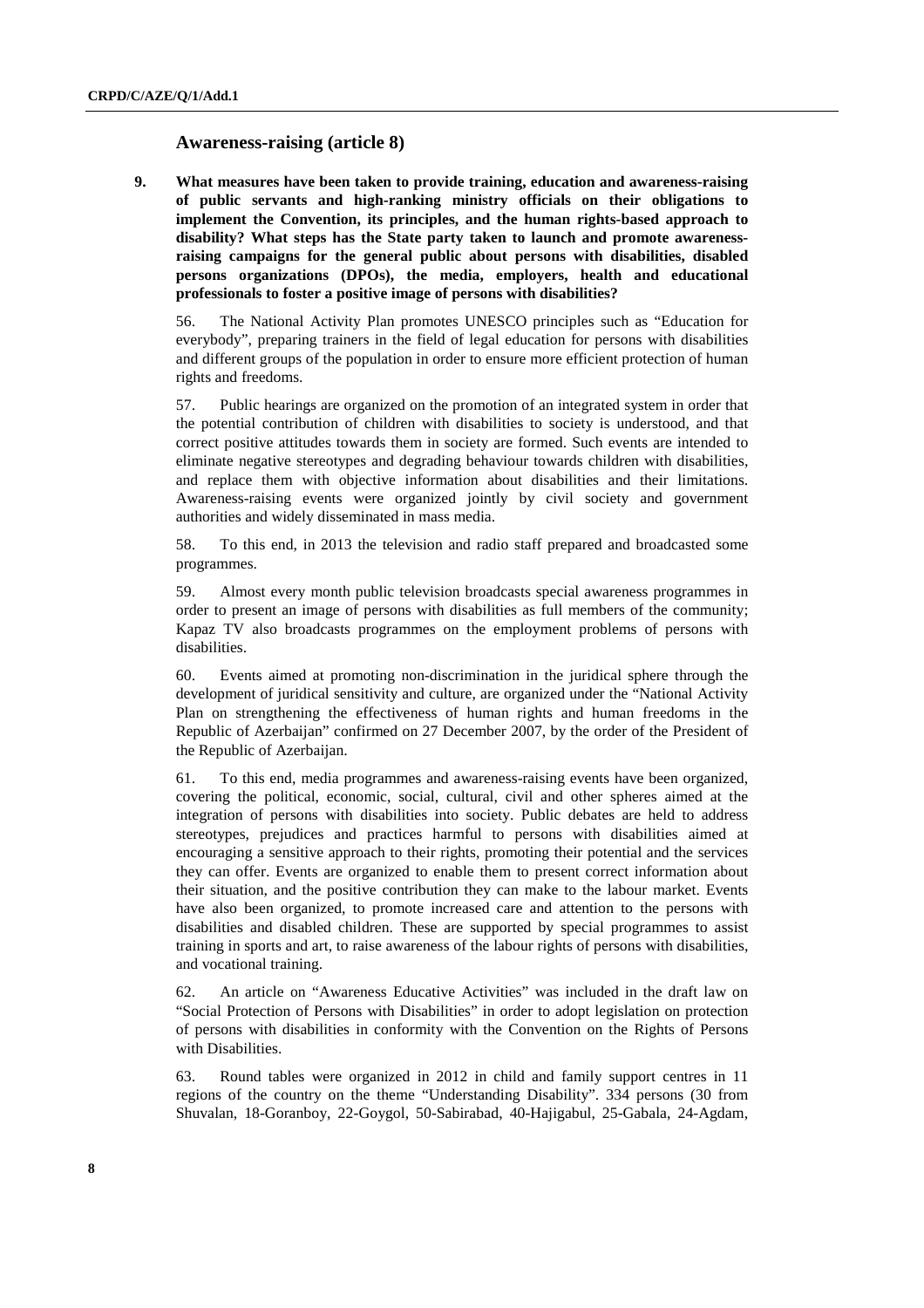## **Awareness-raising (article 8)**

**9. What measures have been taken to provide training, education and awareness-raising of public servants and high-ranking ministry officials on their obligations to implement the Convention, its principles, and the human rights-based approach to disability? What steps has the State party taken to launch and promote awarenessraising campaigns for the general public about persons with disabilities, disabled persons organizations (DPOs), the media, employers, health and educational professionals to foster a positive image of persons with disabilities?** 

56. The National Activity Plan promotes UNESCO principles such as "Education for everybody", preparing trainers in the field of legal education for persons with disabilities and different groups of the population in order to ensure more efficient protection of human rights and freedoms.

57. Public hearings are organized on the promotion of an integrated system in order that the potential contribution of children with disabilities to society is understood, and that correct positive attitudes towards them in society are formed. Such events are intended to eliminate negative stereotypes and degrading behaviour towards children with disabilities, and replace them with objective information about disabilities and their limitations. Awareness-raising events were organized jointly by civil society and government authorities and widely disseminated in mass media.

58. To this end, in 2013 the television and radio staff prepared and broadcasted some programmes.

59. Almost every month public television broadcasts special awareness programmes in order to present an image of persons with disabilities as full members of the community; Kapaz TV also broadcasts programmes on the employment problems of persons with disabilities.

60. Events aimed at promoting non-discrimination in the juridical sphere through the development of juridical sensitivity and culture, are organized under the "National Activity Plan on strengthening the effectiveness of human rights and human freedoms in the Republic of Azerbaijan" confirmed on 27 December 2007, by the order of the President of the Republic of Azerbaijan.

61. To this end, media programmes and awareness-raising events have been organized, covering the political, economic, social, cultural, civil and other spheres aimed at the integration of persons with disabilities into society. Public debates are held to address stereotypes, prejudices and practices harmful to persons with disabilities aimed at encouraging a sensitive approach to their rights, promoting their potential and the services they can offer. Events are organized to enable them to present correct information about their situation, and the positive contribution they can make to the labour market. Events have also been organized, to promote increased care and attention to the persons with disabilities and disabled children. These are supported by special programmes to assist training in sports and art, to raise awareness of the labour rights of persons with disabilities, and vocational training.

62. An article on "Awareness Educative Activities" was included in the draft law on "Social Protection of Persons with Disabilities" in order to adopt legislation on protection of persons with disabilities in conformity with the Convention on the Rights of Persons with Disabilities.

63. Round tables were organized in 2012 in child and family support centres in 11 regions of the country on the theme "Understanding Disability". 334 persons (30 from Shuvalan, 18-Goranboy, 22-Goygol, 50-Sabirabad, 40-Hajigabul, 25-Gabala, 24-Agdam,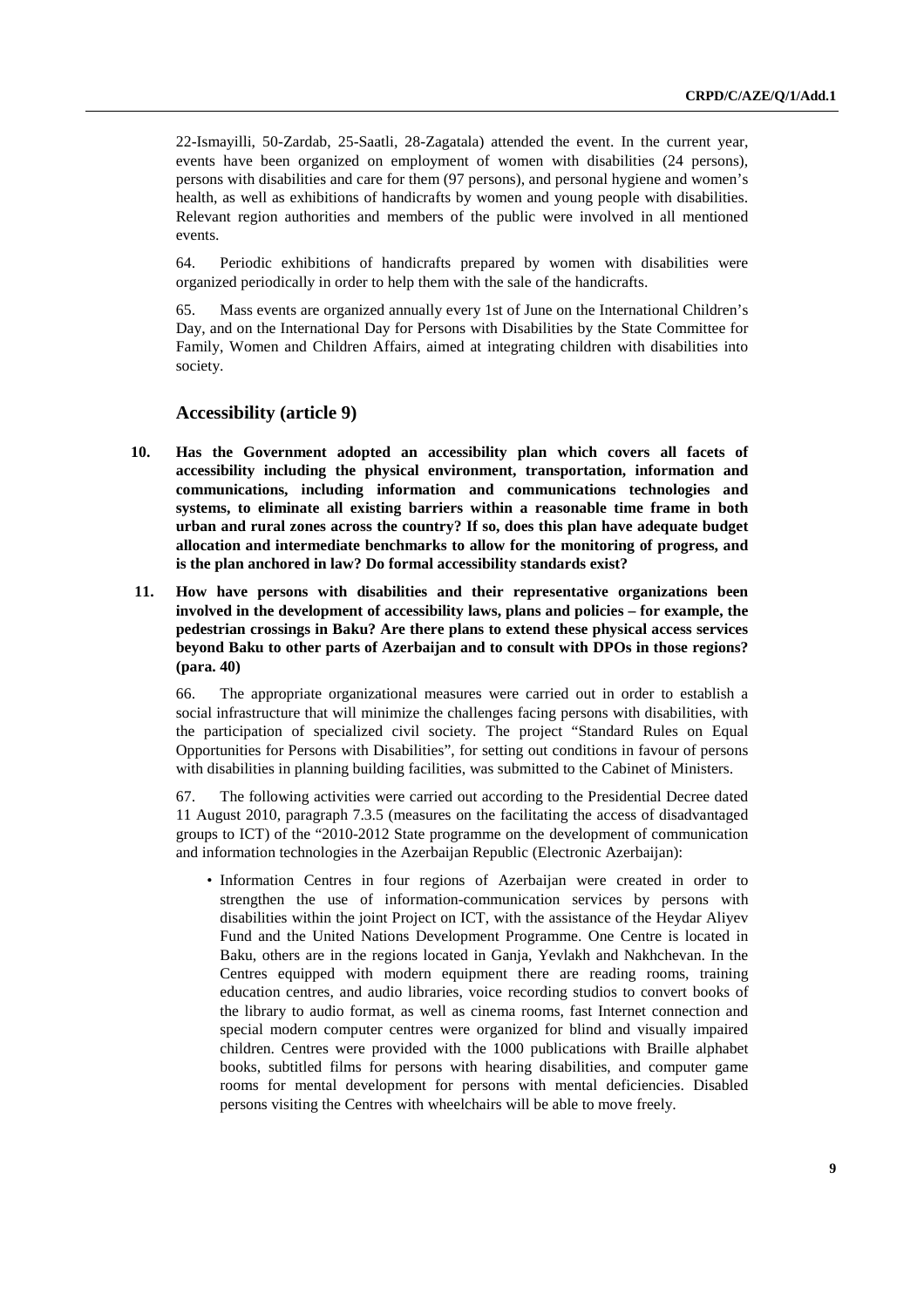22-Ismayilli, 50-Zardab, 25-Saatli, 28-Zagatala) attended the event. In the current year, events have been organized on employment of women with disabilities (24 persons), persons with disabilities and care for them (97 persons), and personal hygiene and women's health, as well as exhibitions of handicrafts by women and young people with disabilities. Relevant region authorities and members of the public were involved in all mentioned events.

64. Periodic exhibitions of handicrafts prepared by women with disabilities were organized periodically in order to help them with the sale of the handicrafts.

65. Mass events are organized annually every 1st of June on the International Children's Day, and on the International Day for Persons with Disabilities by the State Committee for Family, Women and Children Affairs, aimed at integrating children with disabilities into society.

## **Accessibility (article 9)**

- **10. Has the Government adopted an accessibility plan which covers all facets of accessibility including the physical environment, transportation, information and communications, including information and communications technologies and systems, to eliminate all existing barriers within a reasonable time frame in both urban and rural zones across the country? If so, does this plan have adequate budget allocation and intermediate benchmarks to allow for the monitoring of progress, and is the plan anchored in law? Do formal accessibility standards exist?**
- **11. How have persons with disabilities and their representative organizations been involved in the development of accessibility laws, plans and policies – for example, the pedestrian crossings in Baku? Are there plans to extend these physical access services beyond Baku to other parts of Azerbaijan and to consult with DPOs in those regions? (para. 40)**

66. The appropriate organizational measures were carried out in order to establish a social infrastructure that will minimize the challenges facing persons with disabilities, with the participation of specialized civil society. The project "Standard Rules on Equal Opportunities for Persons with Disabilities", for setting out conditions in favour of persons with disabilities in planning building facilities, was submitted to the Cabinet of Ministers.

67. The following activities were carried out according to the Presidential Decree dated 11 August 2010, paragraph 7.3.5 (measures on the facilitating the access of disadvantaged groups to ICT) of the "2010-2012 State programme on the development of communication and information technologies in the Azerbaijan Republic (Electronic Azerbaijan):

• Information Centres in four regions of Azerbaijan were created in order to strengthen the use of information-communication services by persons with disabilities within the joint Project on ICT, with the assistance of the Heydar Aliyev Fund and the United Nations Development Programme. One Centre is located in Baku, others are in the regions located in Ganja, Yevlakh and Nakhchevan. In the Centres equipped with modern equipment there are reading rooms, training education centres, and audio libraries, voice recording studios to convert books of the library to audio format, as well as cinema rooms, fast Internet connection and special modern computer centres were organized for blind and visually impaired children. Centres were provided with the 1000 publications with Braille alphabet books, subtitled films for persons with hearing disabilities, and computer game rooms for mental development for persons with mental deficiencies. Disabled persons visiting the Centres with wheelchairs will be able to move freely.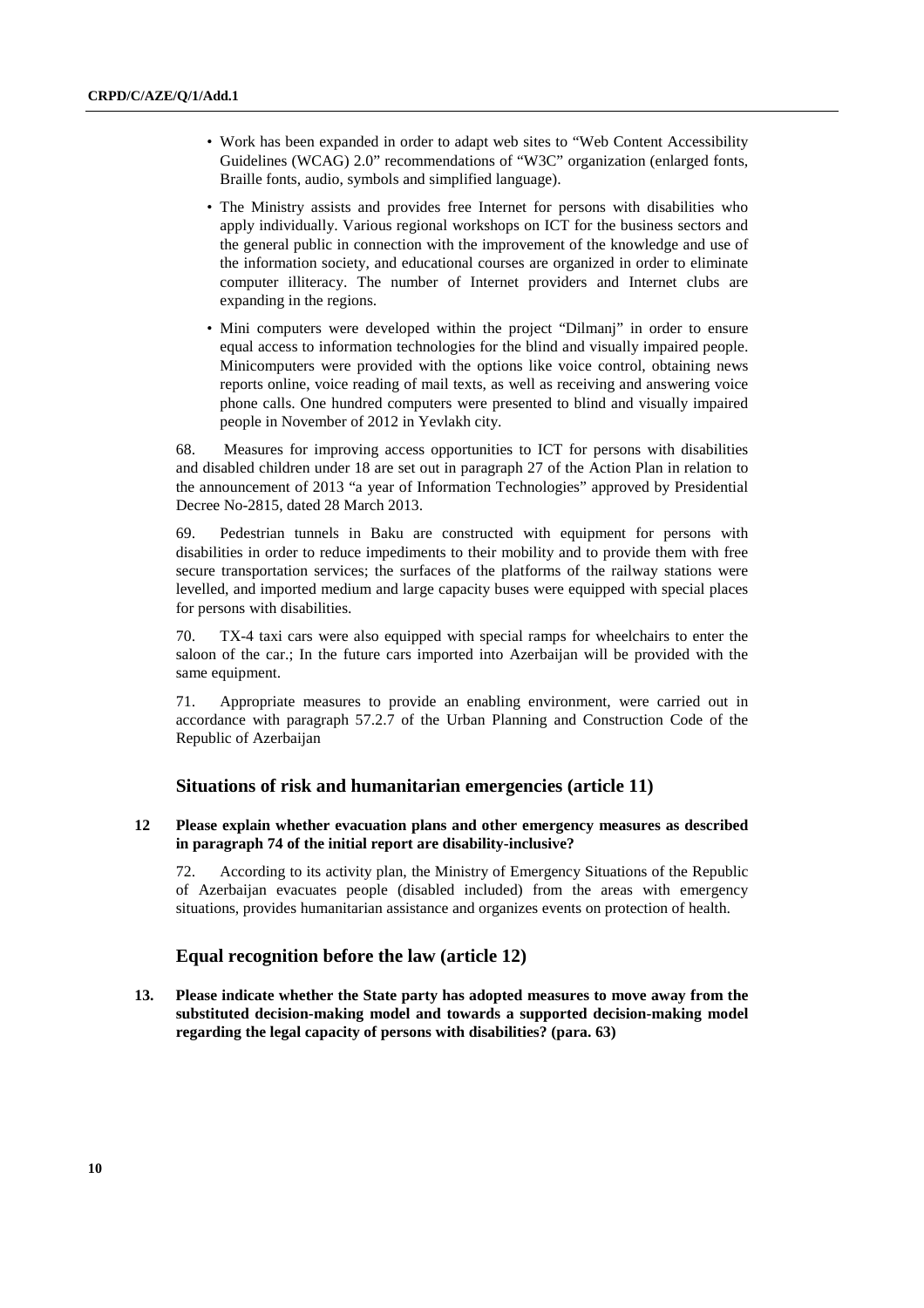- Work has been expanded in order to adapt web sites to "Web Content Accessibility Guidelines (WCAG) 2.0" recommendations of "W3C" organization (enlarged fonts, Braille fonts, audio, symbols and simplified language).
- The Ministry assists and provides free Internet for persons with disabilities who apply individually. Various regional workshops on ICT for the business sectors and the general public in connection with the improvement of the knowledge and use of the information society, and educational courses are organized in order to eliminate computer illiteracy. The number of Internet providers and Internet clubs are expanding in the regions.
- Mini computers were developed within the project "Dilmanj" in order to ensure equal access to information technologies for the blind and visually impaired people. Minicomputers were provided with the options like voice control, obtaining news reports online, voice reading of mail texts, as well as receiving and answering voice phone calls. One hundred computers were presented to blind and visually impaired people in November of 2012 in Yevlakh city.

68. Measures for improving access opportunities to ICT for persons with disabilities and disabled children under 18 are set out in paragraph 27 of the Action Plan in relation to the announcement of 2013 "a year of Information Technologies" approved by Presidential Decree No-2815, dated 28 March 2013.

69. Pedestrian tunnels in Baku are constructed with equipment for persons with disabilities in order to reduce impediments to their mobility and to provide them with free secure transportation services; the surfaces of the platforms of the railway stations were levelled, and imported medium and large capacity buses were equipped with special places for persons with disabilities.

70. TX-4 taxi cars were also equipped with special ramps for wheelchairs to enter the saloon of the car.; In the future cars imported into Azerbaijan will be provided with the same equipment.

71. Appropriate measures to provide an enabling environment, were carried out in accordance with paragraph 57.2.7 of the Urban Planning and Construction Code of the Republic of Azerbaijan

## **Situations of risk and humanitarian emergencies (article 11)**

## **12 Please explain whether evacuation plans and other emergency measures as described in paragraph 74 of the initial report are disability-inclusive?**

72. According to its activity plan, the Ministry of Emergency Situations of the Republic of Azerbaijan evacuates people (disabled included) from the areas with emergency situations, provides humanitarian assistance and organizes events on protection of health.

## **Equal recognition before the law (article 12)**

**13. Please indicate whether the State party has adopted measures to move away from the substituted decision-making model and towards a supported decision-making model regarding the legal capacity of persons with disabilities? (para. 63)**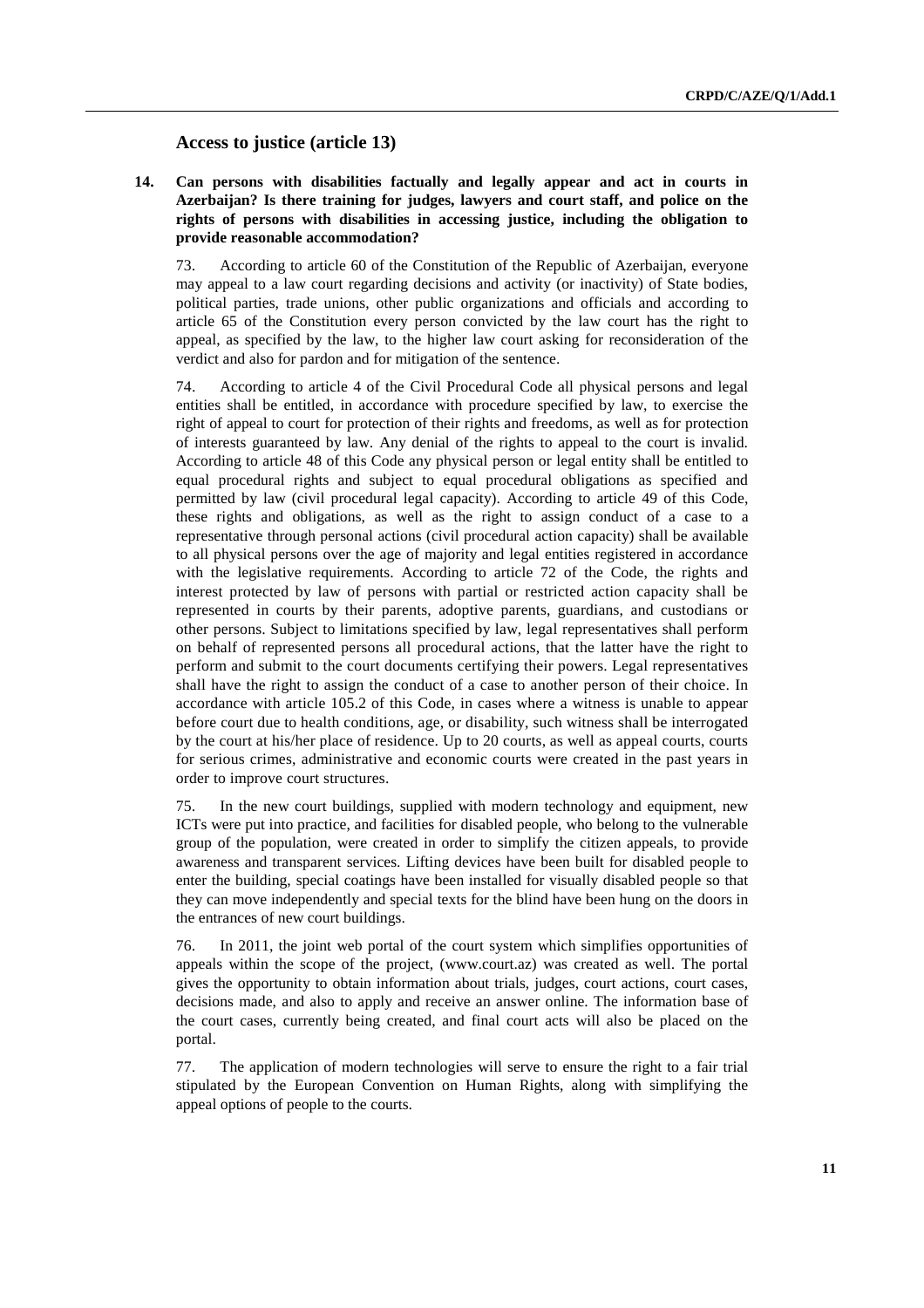### **Access to justice (article 13)**

**14. Can persons with disabilities factually and legally appear and act in courts in Azerbaijan? Is there training for judges, lawyers and court staff, and police on the rights of persons with disabilities in accessing justice, including the obligation to provide reasonable accommodation?** 

73. According to article 60 of the Constitution of the Republic of Azerbaijan, everyone may appeal to a law court regarding decisions and activity (or inactivity) of State bodies, political parties, trade unions, other public organizations and officials and according to article 65 of the Constitution every person convicted by the law court has the right to appeal, as specified by the law, to the higher law court asking for reconsideration of the verdict and also for pardon and for mitigation of the sentence.

74. According to article 4 of the Civil Procedural Code all physical persons and legal entities shall be entitled, in accordance with procedure specified by law, to exercise the right of appeal to court for protection of their rights and freedoms, as well as for protection of interests guaranteed by law. Any denial of the rights to appeal to the court is invalid. According to article 48 of this Code any physical person or legal entity shall be entitled to equal procedural rights and subject to equal procedural obligations as specified and permitted by law (civil procedural legal capacity). According to article 49 of this Code, these rights and obligations, as well as the right to assign conduct of a case to a representative through personal actions (civil procedural action capacity) shall be available to all physical persons over the age of majority and legal entities registered in accordance with the legislative requirements. According to article 72 of the Code, the rights and interest protected by law of persons with partial or restricted action capacity shall be represented in courts by their parents, adoptive parents, guardians, and custodians or other persons. Subject to limitations specified by law, legal representatives shall perform on behalf of represented persons all procedural actions, that the latter have the right to perform and submit to the court documents certifying their powers. Legal representatives shall have the right to assign the conduct of a case to another person of their choice. In accordance with article 105.2 of this Code, in cases where a witness is unable to appear before court due to health conditions, age, or disability, such witness shall be interrogated by the court at his/her place of residence. Up to 20 courts, as well as appeal courts, courts for serious crimes, administrative and economic courts were created in the past years in order to improve court structures.

75. In the new court buildings, supplied with modern technology and equipment, new ICTs were put into practice, and facilities for disabled people, who belong to the vulnerable group of the population, were created in order to simplify the citizen appeals, to provide awareness and transparent services. Lifting devices have been built for disabled people to enter the building, special coatings have been installed for visually disabled people so that they can move independently and special texts for the blind have been hung on the doors in the entrances of new court buildings.

76. In 2011, the joint web portal of the court system which simplifies opportunities of appeals within the scope of the project, (www.court.az) was created as well. The portal gives the opportunity to obtain information about trials, judges, court actions, court cases, decisions made, and also to apply and receive an answer online. The information base of the court cases, currently being created, and final court acts will also be placed on the portal.

77. The application of modern technologies will serve to ensure the right to a fair trial stipulated by the European Convention on Human Rights, along with simplifying the appeal options of people to the courts.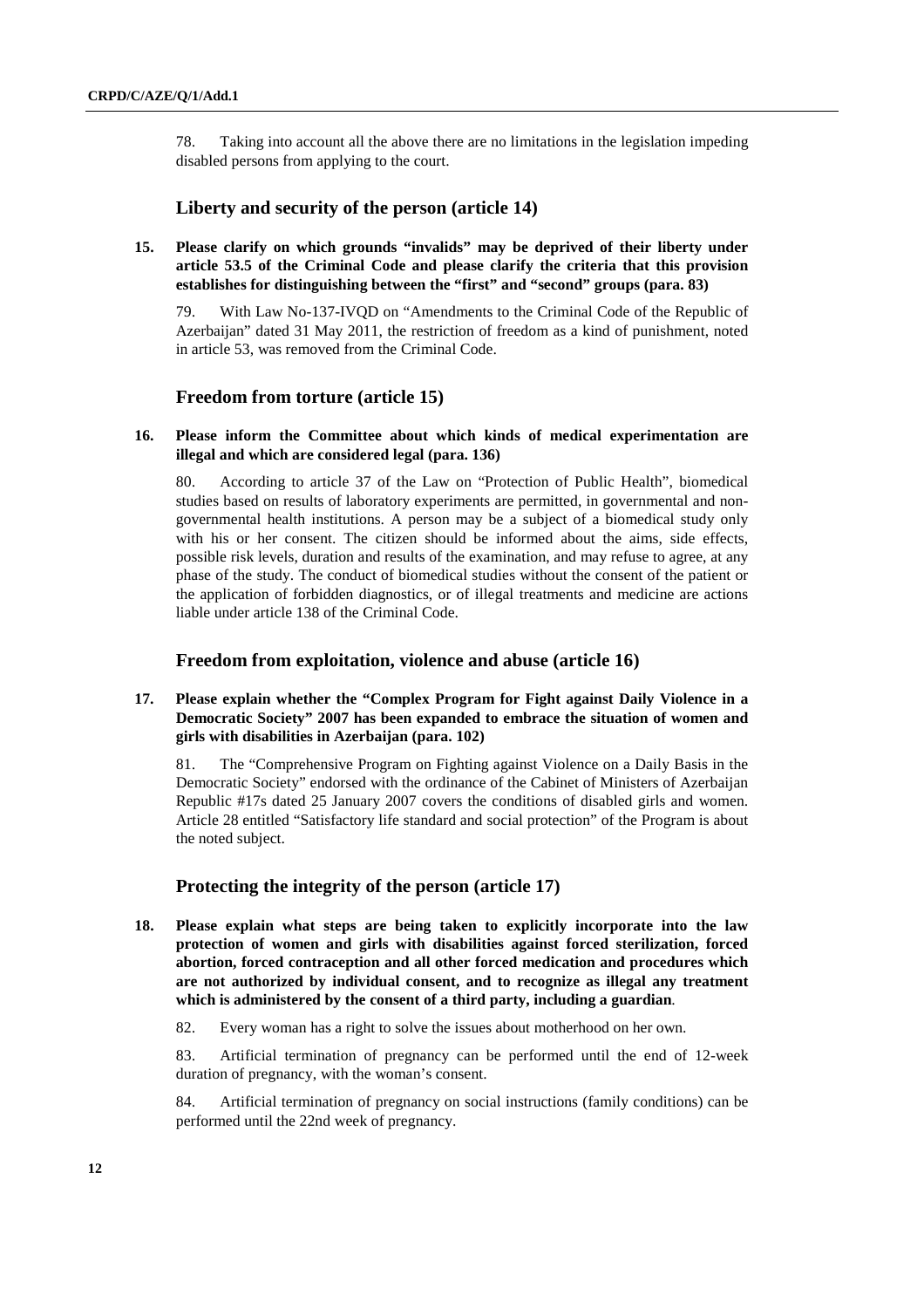78. Taking into account all the above there are no limitations in the legislation impeding disabled persons from applying to the court.

## **Liberty and security of the person (article 14)**

**15. Please clarify on which grounds "invalids" may be deprived of their liberty under article 53.5 of the Criminal Code and please clarify the criteria that this provision establishes for distinguishing between the "first" and "second" groups (para. 83)** 

79. With Law No-137-IVQD on "Amendments to the Criminal Code of the Republic of Azerbaijan" dated 31 May 2011, the restriction of freedom as a kind of punishment, noted in article 53, was removed from the Criminal Code.

## **Freedom from torture (article 15)**

### **16. Please inform the Committee about which kinds of medical experimentation are illegal and which are considered legal (para. 136)**

80. According to article 37 of the Law on "Protection of Public Health", biomedical studies based on results of laboratory experiments are permitted, in governmental and nongovernmental health institutions. A person may be a subject of a biomedical study only with his or her consent. The citizen should be informed about the aims, side effects, possible risk levels, duration and results of the examination, and may refuse to agree, at any phase of the study. The conduct of biomedical studies without the consent of the patient or the application of forbidden diagnostics, or of illegal treatments and medicine are actions liable under article 138 of the Criminal Code.

## **Freedom from exploitation, violence and abuse (article 16)**

## **17. Please explain whether the "Complex Program for Fight against Daily Violence in a Democratic Society" 2007 has been expanded to embrace the situation of women and girls with disabilities in Azerbaijan (para. 102)**

81. The "Comprehensive Program on Fighting against Violence on a Daily Basis in the Democratic Society" endorsed with the ordinance of the Cabinet of Ministers of Azerbaijan Republic #17s dated 25 January 2007 covers the conditions of disabled girls and women. Article 28 entitled "Satisfactory life standard and social protection" of the Program is about the noted subject.

## **Protecting the integrity of the person (article 17)**

- **18. Please explain what steps are being taken to explicitly incorporate into the law protection of women and girls with disabilities against forced sterilization, forced abortion, forced contraception and all other forced medication and procedures which are not authorized by individual consent, and to recognize as illegal any treatment which is administered by the consent of a third party, including a guardian**.
	- 82. Every woman has a right to solve the issues about motherhood on her own.

83. Artificial termination of pregnancy can be performed until the end of 12-week duration of pregnancy, with the woman's consent.

84. Artificial termination of pregnancy on social instructions (family conditions) can be performed until the 22nd week of pregnancy.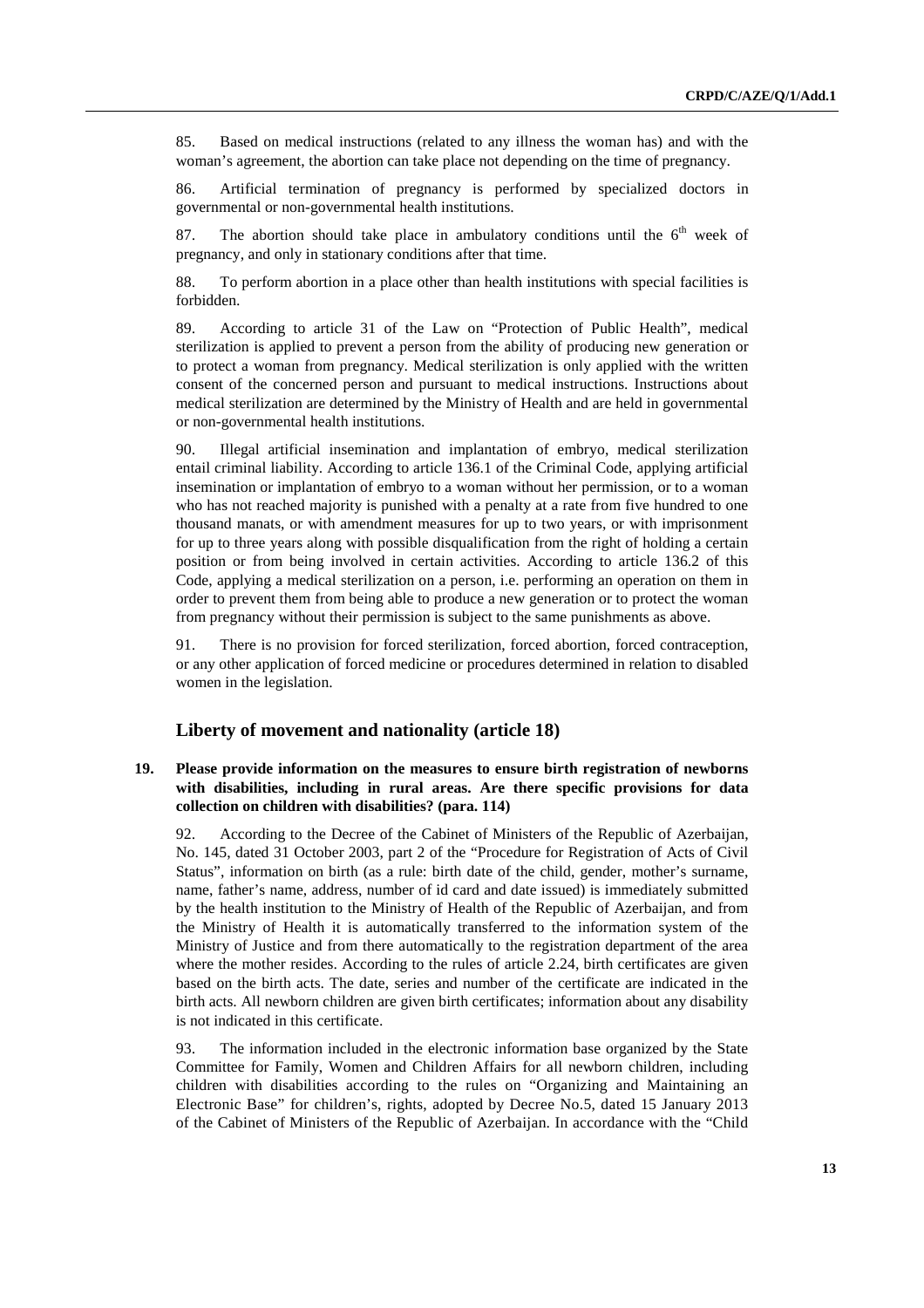85. Based on medical instructions (related to any illness the woman has) and with the woman's agreement, the abortion can take place not depending on the time of pregnancy.

86. Artificial termination of pregnancy is performed by specialized doctors in governmental or non-governmental health institutions.

87. The abortion should take place in ambulatory conditions until the  $6<sup>th</sup>$  week of pregnancy, and only in stationary conditions after that time.

88. To perform abortion in a place other than health institutions with special facilities is forbidden.

89. According to article 31 of the Law on "Protection of Public Health", medical sterilization is applied to prevent a person from the ability of producing new generation or to protect a woman from pregnancy. Medical sterilization is only applied with the written consent of the concerned person and pursuant to medical instructions. Instructions about medical sterilization are determined by the Ministry of Health and are held in governmental or non-governmental health institutions.

90. Illegal artificial insemination and implantation of embryo, medical sterilization entail criminal liability. According to article 136.1 of the Criminal Code, applying artificial insemination or implantation of embryo to a woman without her permission, or to a woman who has not reached majority is punished with a penalty at a rate from five hundred to one thousand manats, or with amendment measures for up to two years, or with imprisonment for up to three years along with possible disqualification from the right of holding a certain position or from being involved in certain activities. According to article 136.2 of this Code, applying a medical sterilization on a person, i.e. performing an operation on them in order to prevent them from being able to produce a new generation or to protect the woman from pregnancy without their permission is subject to the same punishments as above.

91. There is no provision for forced sterilization, forced abortion, forced contraception, or any other application of forced medicine or procedures determined in relation to disabled women in the legislation.

#### **Liberty of movement and nationality (article 18)**

### **19. Please provide information on the measures to ensure birth registration of newborns with disabilities, including in rural areas. Are there specific provisions for data collection on children with disabilities? (para. 114)**

92. According to the Decree of the Cabinet of Ministers of the Republic of Azerbaijan, No. 145, dated 31 October 2003, part 2 of the "Procedure for Registration of Acts of Civil Status", information on birth (as a rule: birth date of the child, gender, mother's surname, name, father's name, address, number of id card and date issued) is immediately submitted by the health institution to the Ministry of Health of the Republic of Azerbaijan, and from the Ministry of Health it is automatically transferred to the information system of the Ministry of Justice and from there automatically to the registration department of the area where the mother resides. According to the rules of article 2.24, birth certificates are given based on the birth acts. The date, series and number of the certificate are indicated in the birth acts. All newborn children are given birth certificates; information about any disability is not indicated in this certificate.

93. The information included in the electronic information base organized by the State Committee for Family, Women and Children Affairs for all newborn children, including children with disabilities according to the rules on "Organizing and Maintaining an Electronic Base" for children's, rights, adopted by Decree No.5, dated 15 January 2013 of the Cabinet of Ministers of the Republic of Azerbaijan. In accordance with the "Child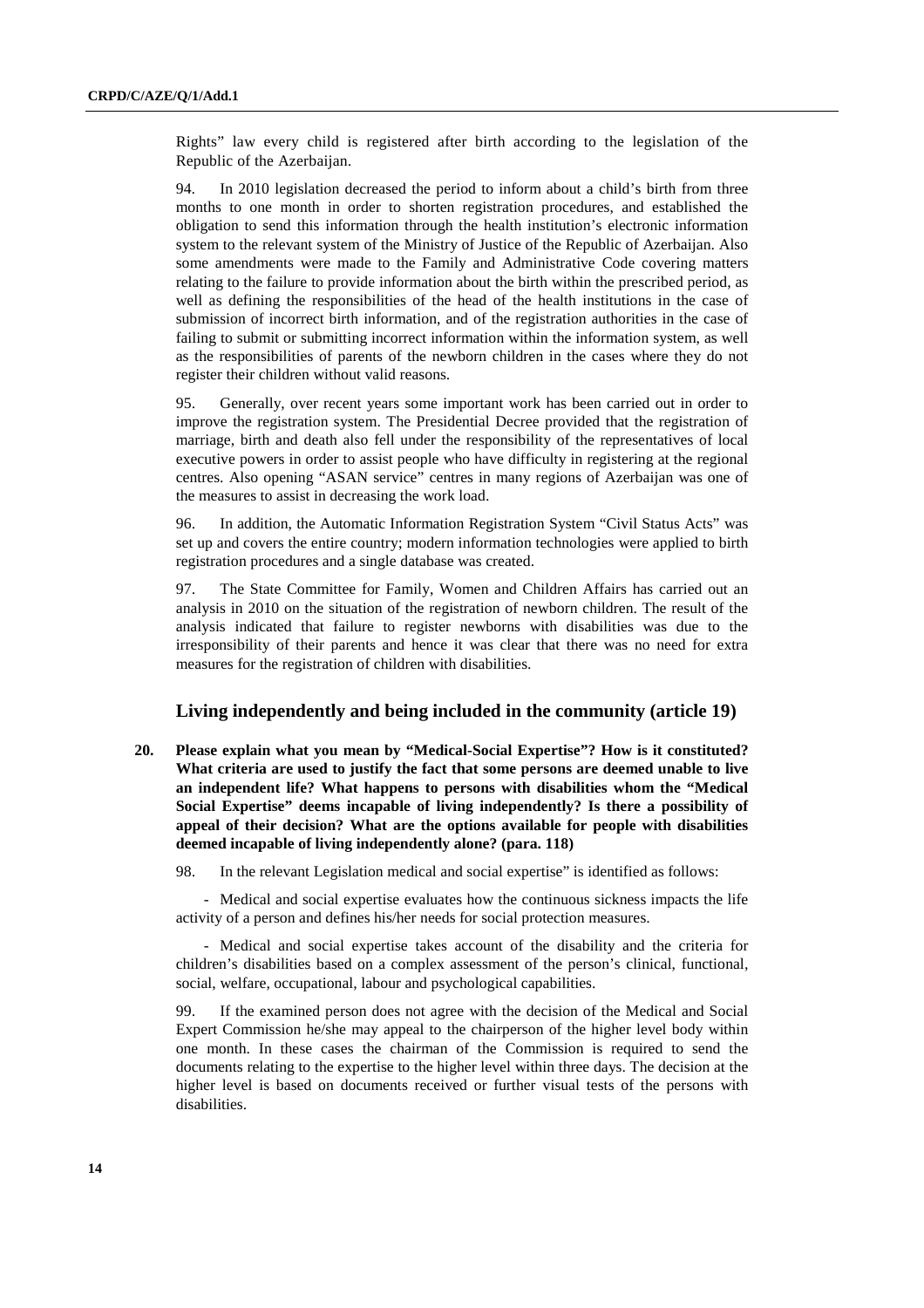Rights" law every child is registered after birth according to the legislation of the Republic of the Azerbaijan.

94. In 2010 legislation decreased the period to inform about a child's birth from three months to one month in order to shorten registration procedures, and established the obligation to send this information through the health institution's electronic information system to the relevant system of the Ministry of Justice of the Republic of Azerbaijan. Also some amendments were made to the Family and Administrative Code covering matters relating to the failure to provide information about the birth within the prescribed period, as well as defining the responsibilities of the head of the health institutions in the case of submission of incorrect birth information, and of the registration authorities in the case of failing to submit or submitting incorrect information within the information system, as well as the responsibilities of parents of the newborn children in the cases where they do not register their children without valid reasons.

95. Generally, over recent years some important work has been carried out in order to improve the registration system. The Presidential Decree provided that the registration of marriage, birth and death also fell under the responsibility of the representatives of local executive powers in order to assist people who have difficulty in registering at the regional centres. Also opening "ASAN service" centres in many regions of Azerbaijan was one of the measures to assist in decreasing the work load.

96. In addition, the Automatic Information Registration System "Civil Status Acts" was set up and covers the entire country; modern information technologies were applied to birth registration procedures and a single database was created.

97. The State Committee for Family, Women and Children Affairs has carried out an analysis in 2010 on the situation of the registration of newborn children. The result of the analysis indicated that failure to register newborns with disabilities was due to the irresponsibility of their parents and hence it was clear that there was no need for extra measures for the registration of children with disabilities.

## **Living independently and being included in the community (article 19)**

**20. Please explain what you mean by "Medical-Social Expertise"? How is it constituted? What criteria are used to justify the fact that some persons are deemed unable to live an independent life? What happens to persons with disabilities whom the "Medical Social Expertise" deems incapable of living independently? Is there a possibility of appeal of their decision? What are the options available for people with disabilities deemed incapable of living independently alone? (para. 118)** 

98. In the relevant Legislation medical and social expertise" is identified as follows:

- Medical and social expertise evaluates how the continuous sickness impacts the life activity of a person and defines his/her needs for social protection measures.

- Medical and social expertise takes account of the disability and the criteria for children's disabilities based on a complex assessment of the person's clinical, functional, social, welfare, occupational, labour and psychological capabilities.

99. If the examined person does not agree with the decision of the Medical and Social Expert Commission he/she may appeal to the chairperson of the higher level body within one month. In these cases the chairman of the Commission is required to send the documents relating to the expertise to the higher level within three days. The decision at the higher level is based on documents received or further visual tests of the persons with disabilities.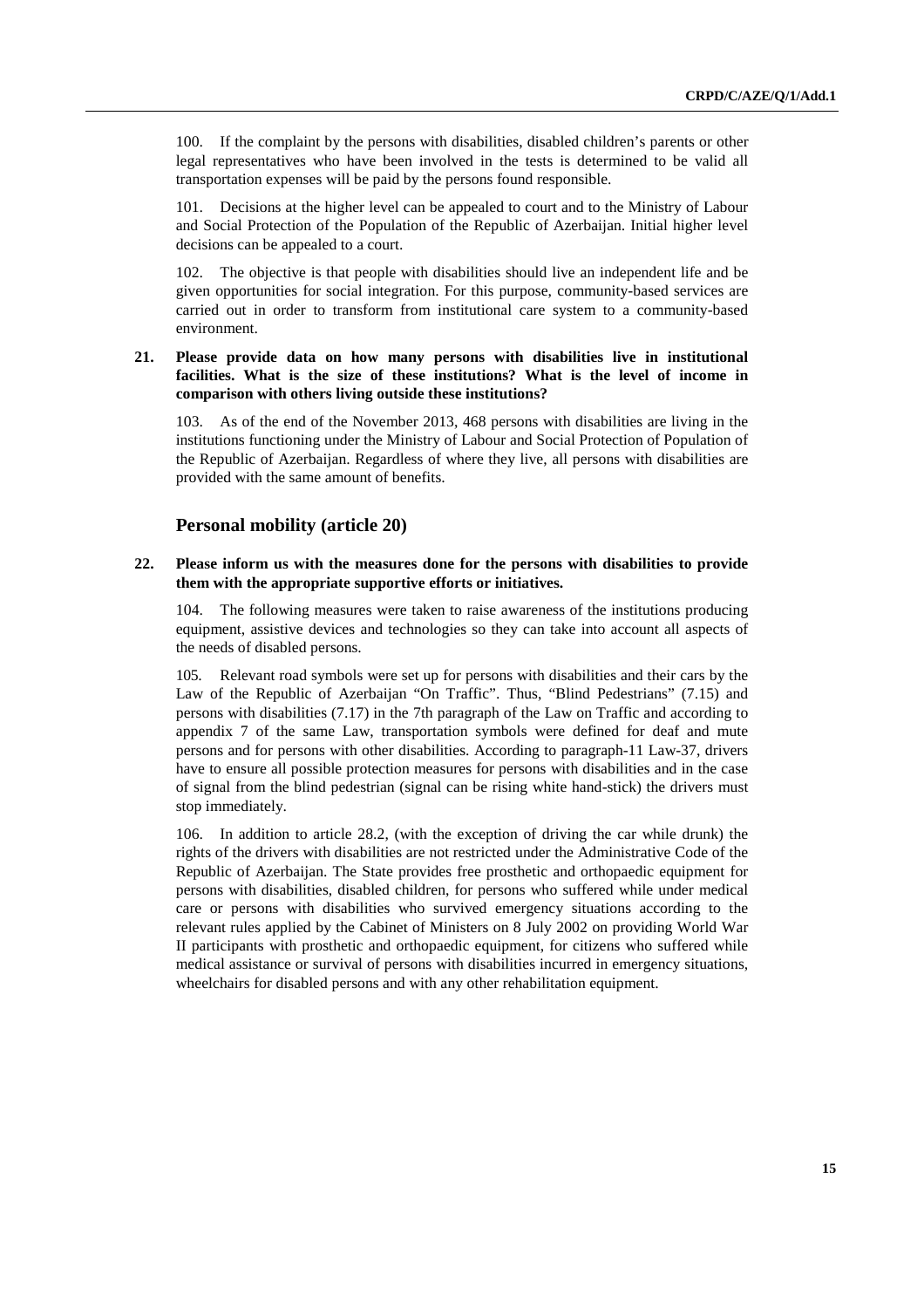100. If the complaint by the persons with disabilities, disabled children's parents or other legal representatives who have been involved in the tests is determined to be valid all transportation expenses will be paid by the persons found responsible.

101. Decisions at the higher level can be appealed to court and to the Ministry of Labour and Social Protection of the Population of the Republic of Azerbaijan. Initial higher level decisions can be appealed to a court.

102. The objective is that people with disabilities should live an independent life and be given opportunities for social integration. For this purpose, community-based services are carried out in order to transform from institutional care system to a community-based environment.

### **21. Please provide data on how many persons with disabilities live in institutional facilities. What is the size of these institutions? What is the level of income in comparison with others living outside these institutions?**

103. As of the end of the November 2013, 468 persons with disabilities are living in the institutions functioning under the Ministry of Labour and Social Protection of Population of the Republic of Azerbaijan. Regardless of where they live, all persons with disabilities are provided with the same amount of benefits.

## **Personal mobility (article 20)**

#### **22. Please inform us with the measures done for the persons with disabilities to provide them with the appropriate supportive efforts or initiatives.**

104. The following measures were taken to raise awareness of the institutions producing equipment, assistive devices and technologies so they can take into account all aspects of the needs of disabled persons.

105. Relevant road symbols were set up for persons with disabilities and their cars by the Law of the Republic of Azerbaijan "On Traffic". Thus, "Blind Pedestrians" (7.15) and persons with disabilities (7.17) in the 7th paragraph of the Law on Traffic and according to appendix 7 of the same Law, transportation symbols were defined for deaf and mute persons and for persons with other disabilities. According to paragraph-11 Law-37, drivers have to ensure all possible protection measures for persons with disabilities and in the case of signal from the blind pedestrian (signal can be rising white hand-stick) the drivers must stop immediately.

106. In addition to article 28.2, (with the exception of driving the car while drunk) the rights of the drivers with disabilities are not restricted under the Administrative Code of the Republic of Azerbaijan. The State provides free prosthetic and orthopaedic equipment for persons with disabilities, disabled children, for persons who suffered while under medical care or persons with disabilities who survived emergency situations according to the relevant rules applied by the Cabinet of Ministers on 8 July 2002 on providing World War II participants with prosthetic and orthopaedic equipment, for citizens who suffered while medical assistance or survival of persons with disabilities incurred in emergency situations, wheelchairs for disabled persons and with any other rehabilitation equipment.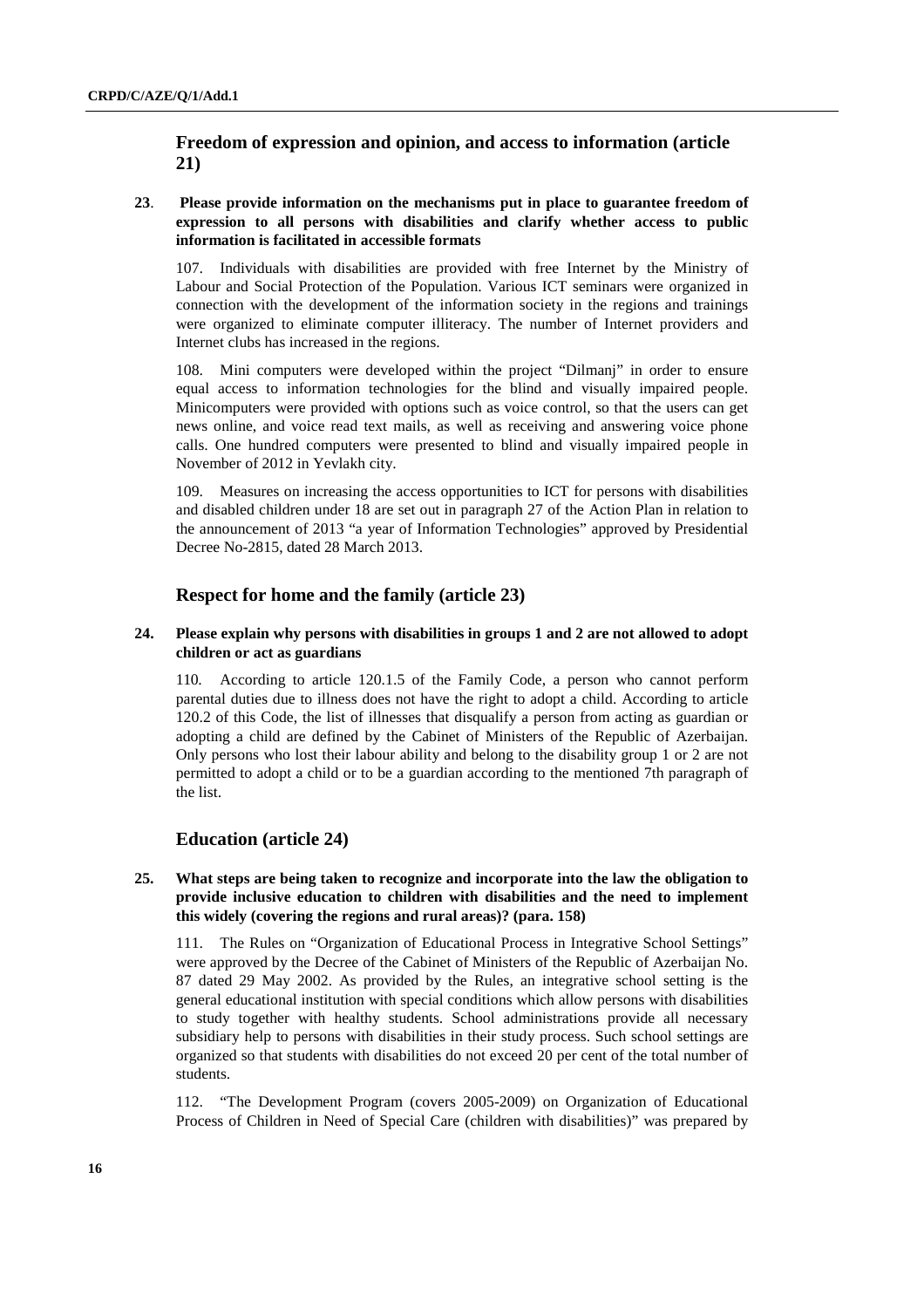## **Freedom of expression and opinion, and access to information (article 21)**

## **23**. **Please provide information on the mechanisms put in place to guarantee freedom of expression to all persons with disabilities and clarify whether access to public information is facilitated in accessible formats**

107. Individuals with disabilities are provided with free Internet by the Ministry of Labour and Social Protection of the Population. Various ICT seminars were organized in connection with the development of the information society in the regions and trainings were organized to eliminate computer illiteracy. The number of Internet providers and Internet clubs has increased in the regions.

108. Mini computers were developed within the project "Dilmanj" in order to ensure equal access to information technologies for the blind and visually impaired people. Minicomputers were provided with options such as voice control, so that the users can get news online, and voice read text mails, as well as receiving and answering voice phone calls. One hundred computers were presented to blind and visually impaired people in November of 2012 in Yevlakh city.

109. Measures on increasing the access opportunities to ICT for persons with disabilities and disabled children under 18 are set out in paragraph 27 of the Action Plan in relation to the announcement of 2013 "a year of Information Technologies" approved by Presidential Decree No-2815, dated 28 March 2013.

## **Respect for home and the family (article 23)**

#### **24. Please explain why persons with disabilities in groups 1 and 2 are not allowed to adopt children or act as guardians**

According to article 120.1.5 of the Family Code, a person who cannot perform parental duties due to illness does not have the right to adopt a child. According to article 120.2 of this Code, the list of illnesses that disqualify a person from acting as guardian or adopting a child are defined by the Cabinet of Ministers of the Republic of Azerbaijan. Only persons who lost their labour ability and belong to the disability group 1 or 2 are not permitted to adopt a child or to be a guardian according to the mentioned 7th paragraph of the list.

## **Education (article 24)**

## **25. What steps are being taken to recognize and incorporate into the law the obligation to provide inclusive education to children with disabilities and the need to implement this widely (covering the regions and rural areas)? (para. 158)**

111. The Rules on "Organization of Educational Process in Integrative School Settings" were approved by the Decree of the Cabinet of Ministers of the Republic of Azerbaijan No. 87 dated 29 May 2002. As provided by the Rules, an integrative school setting is the general educational institution with special conditions which allow persons with disabilities to study together with healthy students. School administrations provide all necessary subsidiary help to persons with disabilities in their study process. Such school settings are organized so that students with disabilities do not exceed 20 per cent of the total number of students.

112. "The Development Program (covers 2005-2009) on Organization of Educational Process of Children in Need of Special Care (children with disabilities)" was prepared by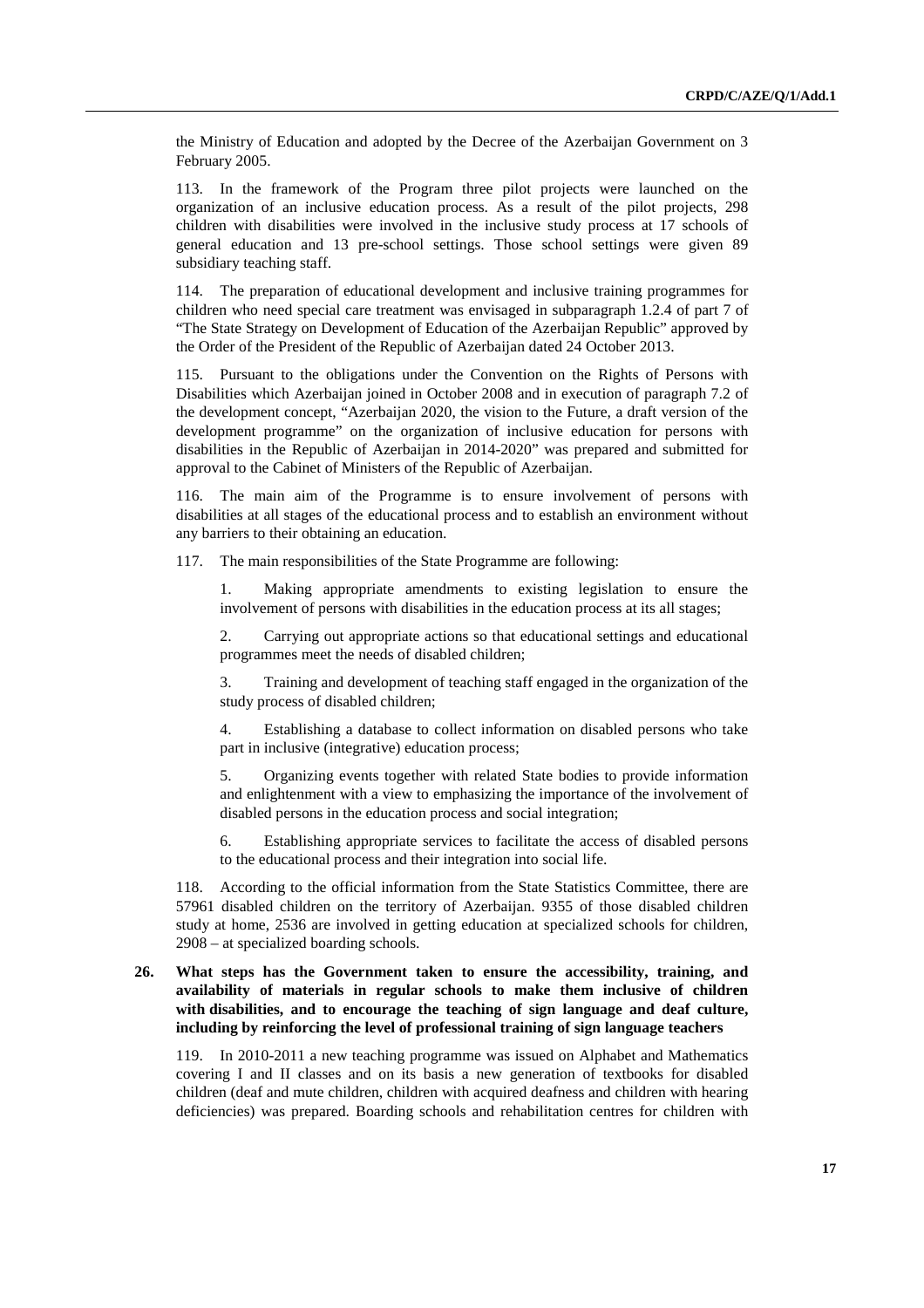the Ministry of Education and adopted by the Decree of the Azerbaijan Government on 3 February 2005.

113. In the framework of the Program three pilot projects were launched on the organization of an inclusive education process. As a result of the pilot projects, 298 children with disabilities were involved in the inclusive study process at 17 schools of general education and 13 pre-school settings. Those school settings were given 89 subsidiary teaching staff.

114. The preparation of educational development and inclusive training programmes for children who need special care treatment was envisaged in subparagraph 1.2.4 of part 7 of "The State Strategy on Development of Education of the Azerbaijan Republic" approved by the Order of the President of the Republic of Azerbaijan dated 24 October 2013.

115. Pursuant to the obligations under the Convention on the Rights of Persons with Disabilities which Azerbaijan joined in October 2008 and in execution of paragraph 7.2 of the development concept, "Azerbaijan 2020, the vision to the Future, a draft version of the development programme" on the organization of inclusive education for persons with disabilities in the Republic of Azerbaijan in 2014-2020" was prepared and submitted for approval to the Cabinet of Ministers of the Republic of Azerbaijan.

116. The main aim of the Programme is to ensure involvement of persons with disabilities at all stages of the educational process and to establish an environment without any barriers to their obtaining an education.

117. The main responsibilities of the State Programme are following:

1. Making appropriate amendments to existing legislation to ensure the involvement of persons with disabilities in the education process at its all stages;

2. Carrying out appropriate actions so that educational settings and educational programmes meet the needs of disabled children;

3. Training and development of teaching staff engaged in the organization of the study process of disabled children;

4. Establishing a database to collect information on disabled persons who take part in inclusive (integrative) education process;

5. Organizing events together with related State bodies to provide information and enlightenment with a view to emphasizing the importance of the involvement of disabled persons in the education process and social integration;

6. Establishing appropriate services to facilitate the access of disabled persons to the educational process and their integration into social life.

118. According to the official information from the State Statistics Committee, there are 57961 disabled children on the territory of Azerbaijan. 9355 of those disabled children study at home, 2536 are involved in getting education at specialized schools for children, 2908 – at specialized boarding schools.

## **26. What steps has the Government taken to ensure the accessibility, training, and availability of materials in regular schools to make them inclusive of children with disabilities, and to encourage the teaching of sign language and deaf culture, including by reinforcing the level of professional training of sign language teachers**

119. In 2010-2011 a new teaching programme was issued on Alphabet and Mathematics covering I and II classes and on its basis a new generation of textbooks for disabled children (deaf and mute children, children with acquired deafness and children with hearing deficiencies) was prepared. Boarding schools and rehabilitation centres for children with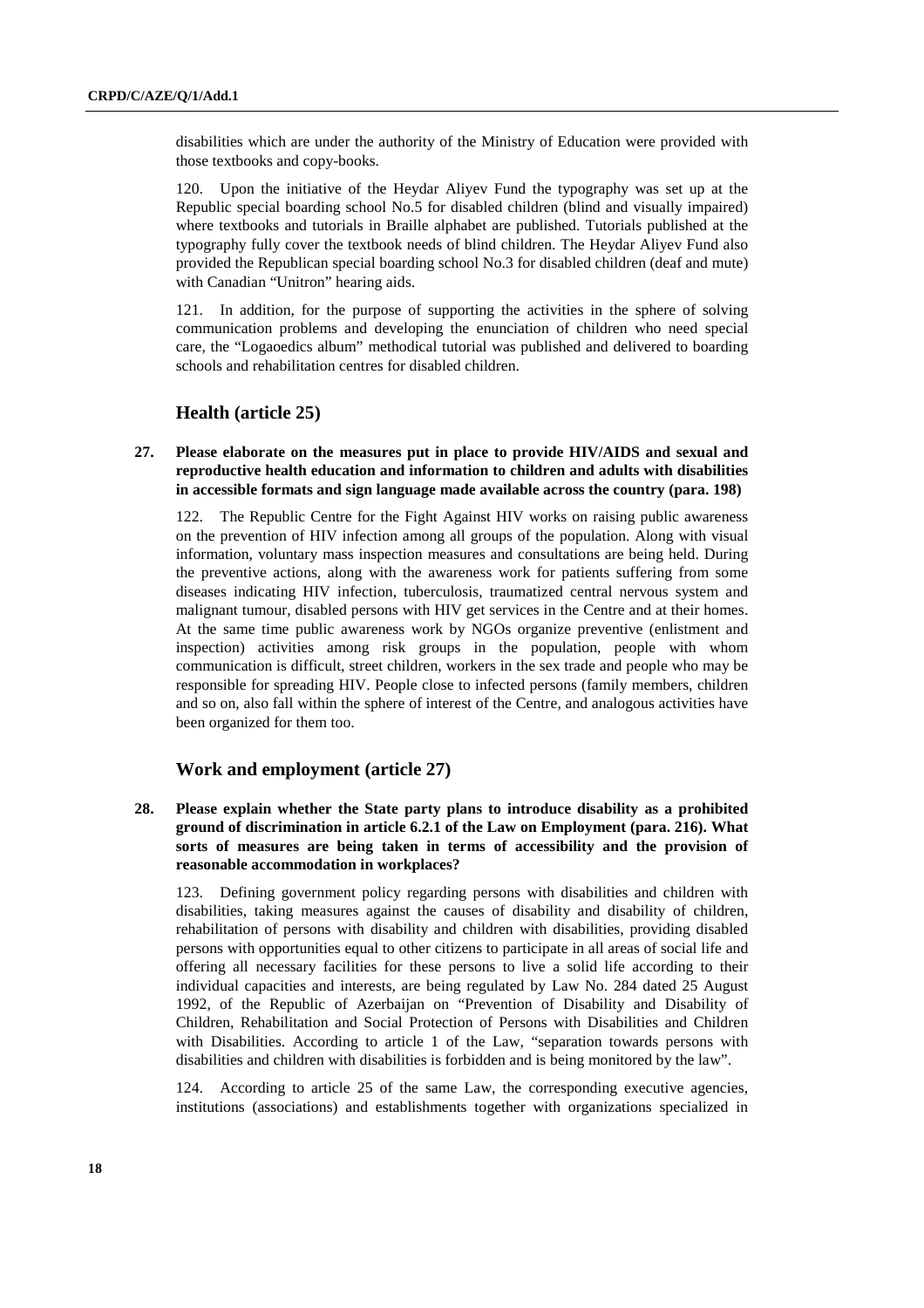disabilities which are under the authority of the Ministry of Education were provided with those textbooks and copy-books.

120. Upon the initiative of the Heydar Aliyev Fund the typography was set up at the Republic special boarding school No.5 for disabled children (blind and visually impaired) where textbooks and tutorials in Braille alphabet are published. Tutorials published at the typography fully cover the textbook needs of blind children. The Heydar Aliyev Fund also provided the Republican special boarding school No.3 for disabled children (deaf and mute) with Canadian "Unitron" hearing aids.

121. In addition, for the purpose of supporting the activities in the sphere of solving communication problems and developing the enunciation of children who need special care, the "Logaoedics album" methodical tutorial was published and delivered to boarding schools and rehabilitation centres for disabled children.

## **Health (article 25)**

### **27. Please elaborate on the measures put in place to provide HIV/AIDS and sexual and reproductive health education and information to children and adults with disabilities in accessible formats and sign language made available across the country (para. 198)**

122. The Republic Centre for the Fight Against HIV works on raising public awareness on the prevention of HIV infection among all groups of the population. Along with visual information, voluntary mass inspection measures and consultations are being held. During the preventive actions, along with the awareness work for patients suffering from some diseases indicating HIV infection, tuberculosis, traumatized central nervous system and malignant tumour, disabled persons with HIV get services in the Centre and at their homes. At the same time public awareness work by NGOs organize preventive (enlistment and inspection) activities among risk groups in the population, people with whom communication is difficult, street children, workers in the sex trade and people who may be responsible for spreading HIV. People close to infected persons (family members, children and so on, also fall within the sphere of interest of the Centre, and analogous activities have been organized for them too.

## **Work and employment (article 27)**

**28. Please explain whether the State party plans to introduce disability as a prohibited ground of discrimination in article 6.2.1 of the Law on Employment (para. 216). What sorts of measures are being taken in terms of accessibility and the provision of reasonable accommodation in workplaces?** 

123. Defining government policy regarding persons with disabilities and children with disabilities, taking measures against the causes of disability and disability of children, rehabilitation of persons with disability and children with disabilities, providing disabled persons with opportunities equal to other citizens to participate in all areas of social life and offering all necessary facilities for these persons to live a solid life according to their individual capacities and interests, are being regulated by Law No. 284 dated 25 August 1992, of the Republic of Azerbaijan on "Prevention of Disability and Disability of Children, Rehabilitation and Social Protection of Persons with Disabilities and Children with Disabilities. According to article 1 of the Law, "separation towards persons with disabilities and children with disabilities is forbidden and is being monitored by the law".

124. According to article 25 of the same Law, the corresponding executive agencies, institutions (associations) and establishments together with organizations specialized in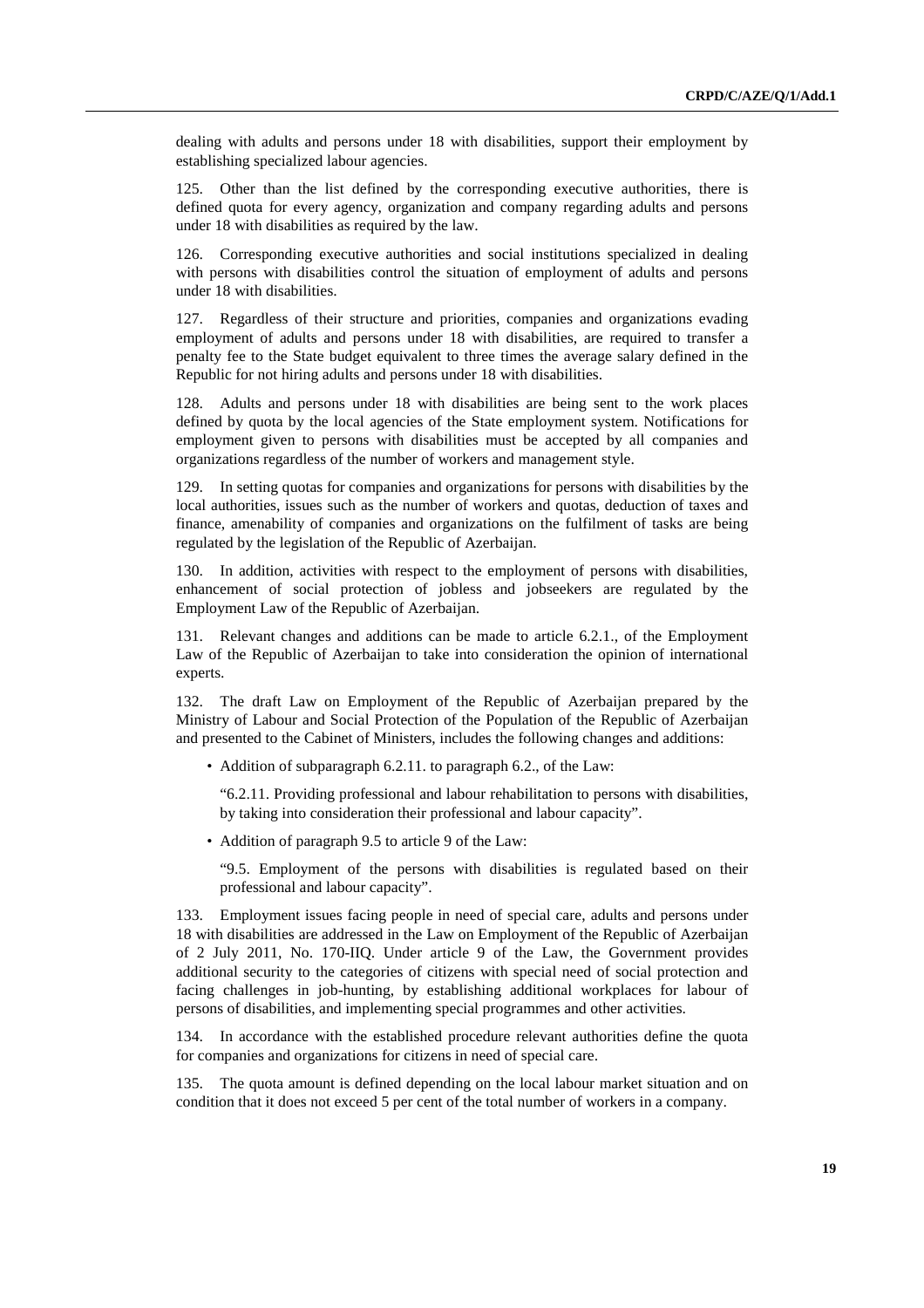dealing with adults and persons under 18 with disabilities, support their employment by establishing specialized labour agencies.

125. Other than the list defined by the corresponding executive authorities, there is defined quota for every agency, organization and company regarding adults and persons under 18 with disabilities as required by the law.

126. Corresponding executive authorities and social institutions specialized in dealing with persons with disabilities control the situation of employment of adults and persons under 18 with disabilities.

127. Regardless of their structure and priorities, companies and organizations evading employment of adults and persons under 18 with disabilities, are required to transfer a penalty fee to the State budget equivalent to three times the average salary defined in the Republic for not hiring adults and persons under 18 with disabilities.

128. Adults and persons under 18 with disabilities are being sent to the work places defined by quota by the local agencies of the State employment system. Notifications for employment given to persons with disabilities must be accepted by all companies and organizations regardless of the number of workers and management style.

129. In setting quotas for companies and organizations for persons with disabilities by the local authorities, issues such as the number of workers and quotas, deduction of taxes and finance, amenability of companies and organizations on the fulfilment of tasks are being regulated by the legislation of the Republic of Azerbaijan.

130. In addition, activities with respect to the employment of persons with disabilities, enhancement of social protection of jobless and jobseekers are regulated by the Employment Law of the Republic of Azerbaijan.

131. Relevant changes and additions can be made to article 6.2.1., of the Employment Law of the Republic of Azerbaijan to take into consideration the opinion of international experts.

132. The draft Law on Employment of the Republic of Azerbaijan prepared by the Ministry of Labour and Social Protection of the Population of the Republic of Azerbaijan and presented to the Cabinet of Ministers, includes the following changes and additions:

• Addition of subparagraph 6.2.11. to paragraph 6.2., of the Law:

"6.2.11. Providing professional and labour rehabilitation to persons with disabilities, by taking into consideration their professional and labour capacity".

• Addition of paragraph 9.5 to article 9 of the Law:

"9.5. Employment of the persons with disabilities is regulated based on their professional and labour capacity".

133. Employment issues facing people in need of special care, adults and persons under 18 with disabilities are addressed in the Law on Employment of the Republic of Azerbaijan of 2 July 2011, No. 170-IIQ. Under article 9 of the Law, the Government provides additional security to the categories of citizens with special need of social protection and facing challenges in job-hunting, by establishing additional workplaces for labour of persons of disabilities, and implementing special programmes and other activities.

134. In accordance with the established procedure relevant authorities define the quota for companies and organizations for citizens in need of special care.

135. The quota amount is defined depending on the local labour market situation and on condition that it does not exceed 5 per cent of the total number of workers in a company.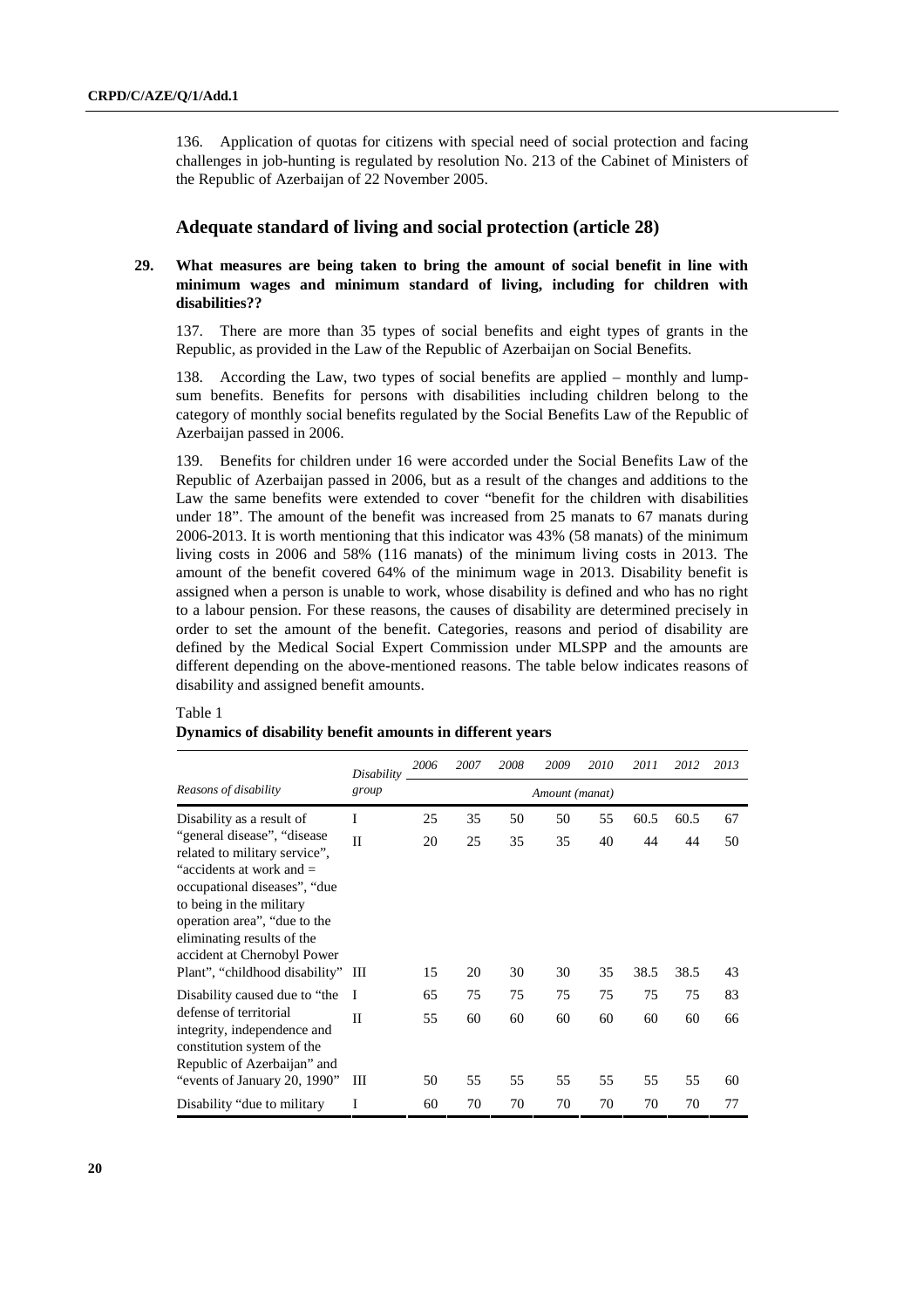136. Application of quotas for citizens with special need of social protection and facing challenges in job-hunting is regulated by resolution No. 213 of the Cabinet of Ministers of the Republic of Azerbaijan of 22 November 2005.

## **Adequate standard of living and social protection (article 28)**

## **29. What measures are being taken to bring the amount of social benefit in line with minimum wages and minimum standard of living, including for children with disabilities??**

137. There are more than 35 types of social benefits and eight types of grants in the Republic, as provided in the Law of the Republic of Azerbaijan on Social Benefits.

138. According the Law, two types of social benefits are applied – monthly and lumpsum benefits. Benefits for persons with disabilities including children belong to the category of monthly social benefits regulated by the Social Benefits Law of the Republic of Azerbaijan passed in 2006.

139. Benefits for children under 16 were accorded under the Social Benefits Law of the Republic of Azerbaijan passed in 2006, but as a result of the changes and additions to the Law the same benefits were extended to cover "benefit for the children with disabilities under 18". The amount of the benefit was increased from 25 manats to 67 manats during 2006-2013. It is worth mentioning that this indicator was 43% (58 manats) of the minimum living costs in 2006 and 58% (116 manats) of the minimum living costs in 2013. The amount of the benefit covered 64% of the minimum wage in 2013. Disability benefit is assigned when a person is unable to work, whose disability is defined and who has no right to a labour pension. For these reasons, the causes of disability are determined precisely in order to set the amount of the benefit. Categories, reasons and period of disability are defined by the Medical Social Expert Commission under MLSPP and the amounts are different depending on the above-mentioned reasons. The table below indicates reasons of disability and assigned benefit amounts.

### Table 1

#### **Dynamics of disability benefit amounts in different years**

| Reasons of disability                                                                                                                                                                                                                                                                      | Disability | 2006           | 2007     | 2008     | 2009     | 2010     | 2011       | 2012       | 2013     |
|--------------------------------------------------------------------------------------------------------------------------------------------------------------------------------------------------------------------------------------------------------------------------------------------|------------|----------------|----------|----------|----------|----------|------------|------------|----------|
|                                                                                                                                                                                                                                                                                            | group      | Amount (manat) |          |          |          |          |            |            |          |
| Disability as a result of                                                                                                                                                                                                                                                                  | I          | 25             | 35       | 50       | 50       | 55       | 60.5       | 60.5       | 67       |
| "general disease", "disease"<br>related to military service",<br>"accidents at work and $=$<br>occupational diseases", "due<br>to being in the military<br>operation area", "due to the<br>eliminating results of the<br>accident at Chernobyl Power<br>Plant", "childhood disability" III | $\Pi$      | 20<br>15       | 25<br>20 | 35<br>30 | 35<br>30 | 40<br>35 | 44<br>38.5 | 44<br>38.5 | 50<br>43 |
| Disability caused due to "the<br>defense of territorial<br>integrity, independence and<br>constitution system of the<br>Republic of Azerbaijan" and<br>"events of January 20, 1990"                                                                                                        |            |                |          |          |          |          |            |            | 83       |
|                                                                                                                                                                                                                                                                                            | -1         | 65             | 75       | 75       | 75       | 75       | 75         | 75         |          |
|                                                                                                                                                                                                                                                                                            | Н<br>Ш     | 55<br>50       | 60<br>55 | 60<br>55 | 60<br>55 | 60<br>55 | 60<br>55   | 60<br>55   | 66<br>60 |
| Disability "due to military"                                                                                                                                                                                                                                                               | I          | 60             | 70       | 70       | 70       | 70       | 70         | 70         | 77       |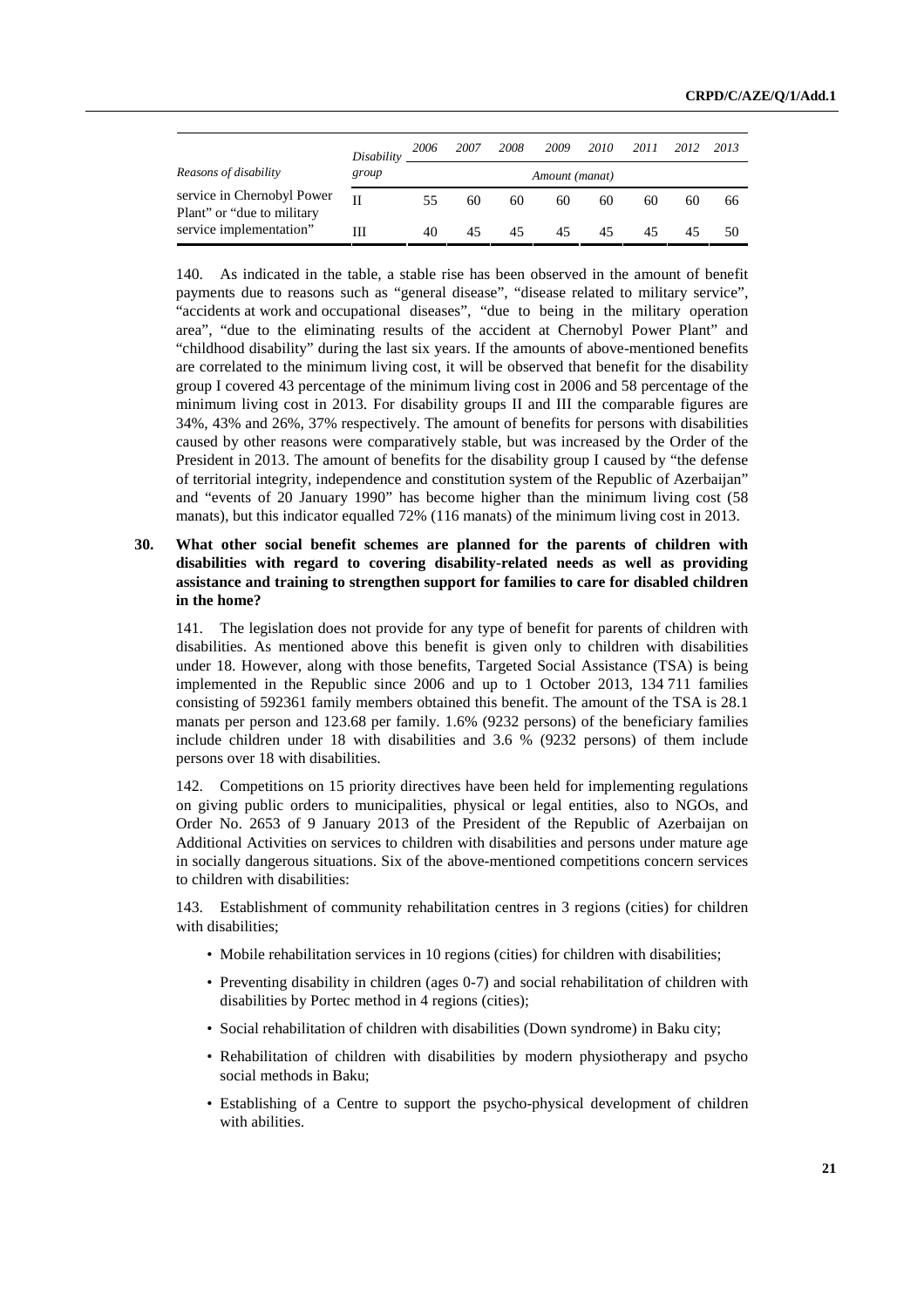|                                                           | Disability | 2006           | 2007 | 2008 | 2009 | 2010 | 2011 | 2012 | 2013 |
|-----------------------------------------------------------|------------|----------------|------|------|------|------|------|------|------|
| Reasons of disability                                     | group      | Amount (manat) |      |      |      |      |      |      |      |
| service in Chernobyl Power<br>Plant" or "due to military" | Н          | 55.            | 60   | 60   | 60   | 60   | 60   | 60   | 66   |
| service implementation"                                   | Ш          | 40             | 45   | 45   | 45   | 45   | 45   | 45   | 50   |

140. As indicated in the table, a stable rise has been observed in the amount of benefit payments due to reasons such as "general disease", "disease related to military service", "accidents at work and occupational diseases", "due to being in the military operation area", "due to the eliminating results of the accident at Chernobyl Power Plant" and "childhood disability" during the last six years. If the amounts of above-mentioned benefits are correlated to the minimum living cost, it will be observed that benefit for the disability group I covered 43 percentage of the minimum living cost in 2006 and 58 percentage of the minimum living cost in 2013. For disability groups II and III the comparable figures are 34%, 43% and 26%, 37% respectively. The amount of benefits for persons with disabilities caused by other reasons were comparatively stable, but was increased by the Order of the President in 2013. The amount of benefits for the disability group I caused by "the defense of territorial integrity, independence and constitution system of the Republic of Azerbaijan" and "events of 20 January 1990" has become higher than the minimum living cost (58 manats), but this indicator equalled 72% (116 manats) of the minimum living cost in 2013.

## **30. What other social benefit schemes are planned for the parents of children with disabilities with regard to covering disability-related needs as well as providing assistance and training to strengthen support for families to care for disabled children in the home?**

141. The legislation does not provide for any type of benefit for parents of children with disabilities. As mentioned above this benefit is given only to children with disabilities under 18. However, along with those benefits, Targeted Social Assistance (TSA) is being implemented in the Republic since 2006 and up to 1 October 2013, 134 711 families consisting of 592361 family members obtained this benefit. The amount of the TSA is 28.1 manats per person and 123.68 per family. 1.6% (9232 persons) of the beneficiary families include children under 18 with disabilities and 3.6 % (9232 persons) of them include persons over 18 with disabilities.

142. Competitions on 15 priority directives have been held for implementing regulations on giving public orders to municipalities, physical or legal entities, also to NGOs, and Order No. 2653 of 9 January 2013 of the President of the Republic of Azerbaijan on Additional Activities on services to children with disabilities and persons under mature age in socially dangerous situations. Six of the above-mentioned competitions concern services to children with disabilities:

143. Establishment of community rehabilitation centres in 3 regions (cities) for children with disabilities;

- Mobile rehabilitation services in 10 regions (cities) for children with disabilities;
- Preventing disability in children (ages 0-7) and social rehabilitation of children with disabilities by Portec method in 4 regions (cities);
- Social rehabilitation of children with disabilities (Down syndrome) in Baku city;
- Rehabilitation of children with disabilities by modern physiotherapy and psycho social methods in Baku;
- Establishing of a Centre to support the psycho-physical development of children with abilities.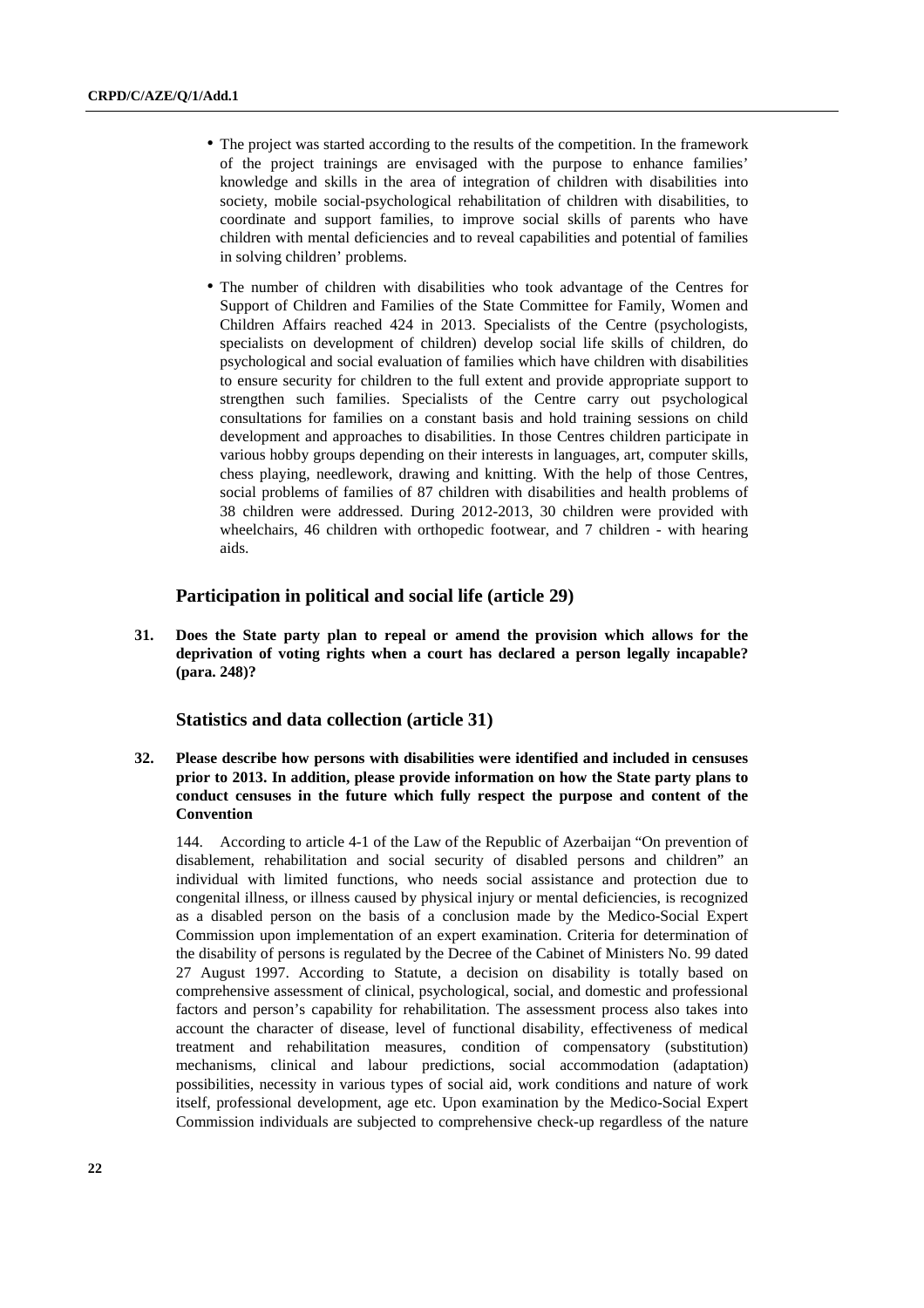- The project was started according to the results of the competition. In the framework of the project trainings are envisaged with the purpose to enhance families' knowledge and skills in the area of integration of children with disabilities into society, mobile social-psychological rehabilitation of children with disabilities, to coordinate and support families, to improve social skills of parents who have children with mental deficiencies and to reveal capabilities and potential of families in solving children' problems.
- The number of children with disabilities who took advantage of the Centres for Support of Children and Families of the State Committee for Family, Women and Children Affairs reached 424 in 2013. Specialists of the Centre (psychologists, specialists on development of children) develop social life skills of children, do psychological and social evaluation of families which have children with disabilities to ensure security for children to the full extent and provide appropriate support to strengthen such families. Specialists of the Centre carry out psychological consultations for families on a constant basis and hold training sessions on child development and approaches to disabilities. In those Centres children participate in various hobby groups depending on their interests in languages, art, computer skills, chess playing, needlework, drawing and knitting. With the help of those Centres, social problems of families of 87 children with disabilities and health problems of 38 children were addressed. During 2012-2013, 30 children were provided with wheelchairs, 46 children with orthopedic footwear, and 7 children - with hearing aids.

## **Participation in political and social life (article 29)**

**31. Does the State party plan to repeal or amend the provision which allows for the deprivation of voting rights when a court has declared a person legally incapable? (para. 248)?**

## **Statistics and data collection (article 31)**

**32. Please describe how persons with disabilities were identified and included in censuses prior to 2013. In addition, please provide information on how the State party plans to conduct censuses in the future which fully respect the purpose and content of the Convention** 

144. According to article 4-1 of the Law of the Republic of Azerbaijan "On prevention of disablement, rehabilitation and social security of disabled persons and children" an individual with limited functions, who needs social assistance and protection due to congenital illness, or illness caused by physical injury or mental deficiencies, is recognized as a disabled person on the basis of a conclusion made by the Medico-Social Expert Commission upon implementation of an expert examination. Criteria for determination of the disability of persons is regulated by the Decree of the Cabinet of Ministers No. 99 dated 27 August 1997. According to Statute, a decision on disability is totally based on comprehensive assessment of clinical, psychological, social, and domestic and professional factors and person's capability for rehabilitation. The assessment process also takes into account the character of disease, level of functional disability, effectiveness of medical treatment and rehabilitation measures, condition of compensatory (substitution) mechanisms, clinical and labour predictions, social accommodation (adaptation) possibilities, necessity in various types of social aid, work conditions and nature of work itself, professional development, age etc. Upon examination by the Medico-Social Expert Commission individuals are subjected to comprehensive check-up regardless of the nature